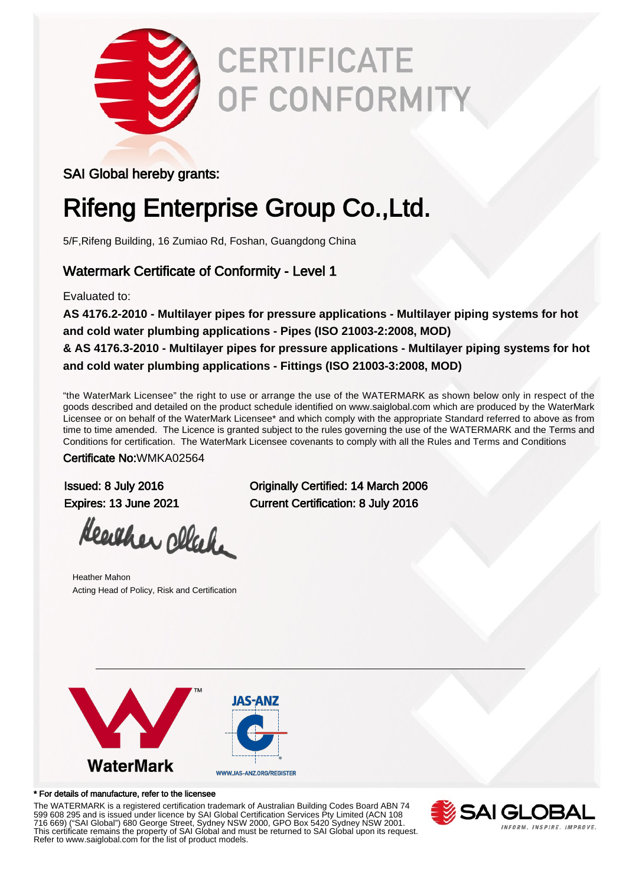

# **CERTIFICATE** OF CONFORMITY

### SAI Global hereby grants:

# Rifeng Enterprise Group Co.,Ltd.

5/F,Rifeng Building, 16 Zumiao Rd, Foshan, Guangdong China

### Watermark Certificate of Conformity - Level 1

Evaluated to:

**AS 4176.2-2010 - Multilayer pipes for pressure applications - Multilayer piping systems for hot and cold water plumbing applications - Pipes (ISO 21003-2:2008, MOD) & AS 4176.3-2010 - Multilayer pipes for pressure applications - Multilayer piping systems for hot**

**and cold water plumbing applications - Fittings (ISO 21003-3:2008, MOD)**

"the WaterMark Licensee" the right to use or arrange the use of the WATERMARK as shown below only in respect of the goods described and detailed on the product schedule identified on www.saiglobal.com which are produced by the WaterMark Licensee or on behalf of the WaterMark Licensee\* and which comply with the appropriate Standard referred to above as from time to time amended. The Licence is granted subject to the rules governing the use of the WATERMARK and the Terms and Conditions for certification. The WaterMark Licensee covenants to comply with all the Rules and Terms and Conditions

Certificate No:WMKA02564

Heather cleak

Heather Mahon Acting Head of Policy, Risk and Certification

Issued: 8 July 2016 Originally Certified: 14 March 2006 Expires: 13 June 2021 Current Certification: 8 July 2016



#### \* For details of manufacture, refer to the licensee

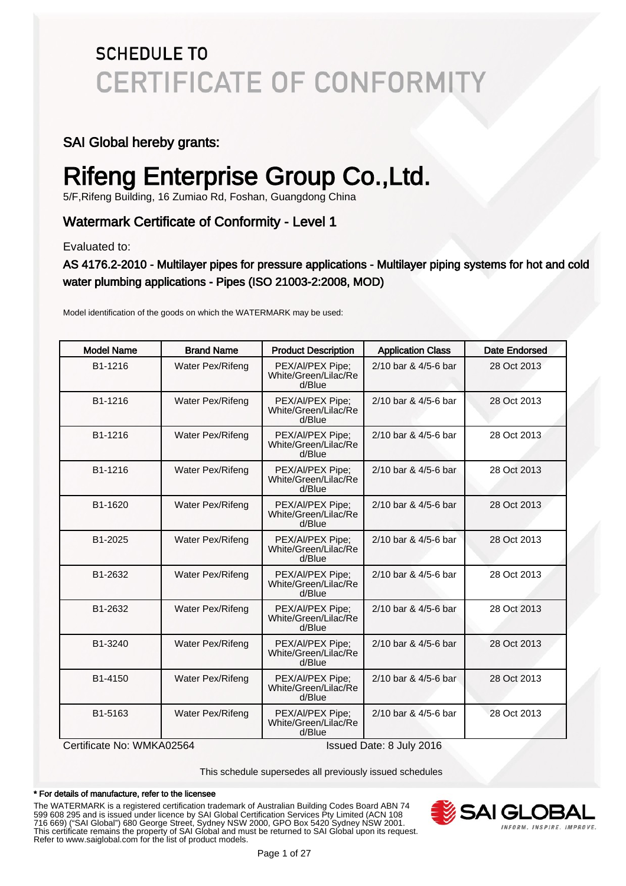### SAI Global hereby grants:

# Rifeng Enterprise Group Co.,Ltd.

5/F,Rifeng Building, 16 Zumiao Rd, Foshan, Guangdong China

### Watermark Certificate of Conformity - Level 1

Evaluated to:

### AS 4176.2-2010 - Multilayer pipes for pressure applications - Multilayer piping systems for hot and cold water plumbing applications - Pipes (ISO 21003-2:2008, MOD)

Model identification of the goods on which the WATERMARK may be used:

| <b>Model Name</b>         | <b>Brand Name</b> | <b>Product Description</b>                         | <b>Application Class</b> | Date Endorsed |
|---------------------------|-------------------|----------------------------------------------------|--------------------------|---------------|
| B1-1216                   | Water Pex/Rifeng  | PEX/Al/PEX Pipe;<br>White/Green/Lilac/Re<br>d/Blue | 2/10 bar & 4/5-6 bar     | 28 Oct 2013   |
| B1-1216                   | Water Pex/Rifeng  | PEX/Al/PEX Pipe;<br>White/Green/Lilac/Re<br>d/Blue | 2/10 bar & 4/5-6 bar     | 28 Oct 2013   |
| B1-1216                   | Water Pex/Rifeng  | PEX/Al/PEX Pipe;<br>White/Green/Lilac/Re<br>d/Blue | 2/10 bar & 4/5-6 bar     | 28 Oct 2013   |
| B1-1216                   | Water Pex/Rifeng  | PEX/Al/PEX Pipe;<br>White/Green/Lilac/Re<br>d/Blue | 2/10 bar & 4/5-6 bar     | 28 Oct 2013   |
| B1-1620                   | Water Pex/Rifeng  | PEX/Al/PEX Pipe;<br>White/Green/Lilac/Re<br>d/Blue | 2/10 bar & 4/5-6 bar     | 28 Oct 2013   |
| B1-2025                   | Water Pex/Rifeng  | PEX/Al/PEX Pipe;<br>White/Green/Lilac/Re<br>d/Blue | 2/10 bar & 4/5-6 bar     | 28 Oct 2013   |
| B1-2632                   | Water Pex/Rifeng  | PEX/Al/PEX Pipe;<br>White/Green/Lilac/Re<br>d/Blue | 2/10 bar & 4/5-6 bar     | 28 Oct 2013   |
| B1-2632                   | Water Pex/Rifeng  | PEX/Al/PEX Pipe;<br>White/Green/Lilac/Re<br>d/Blue | 2/10 bar & 4/5-6 bar     | 28 Oct 2013   |
| B1-3240                   | Water Pex/Rifeng  | PEX/Al/PEX Pipe;<br>White/Green/Lilac/Re<br>d/Blue | 2/10 bar & 4/5-6 bar     | 28 Oct 2013   |
| B1-4150                   | Water Pex/Rifeng  | PEX/Al/PEX Pipe;<br>White/Green/Lilac/Re<br>d/Blue | 2/10 bar & 4/5-6 bar     | 28 Oct 2013   |
| B1-5163                   | Water Pex/Rifeng  | PEX/Al/PEX Pipe;<br>White/Green/Lilac/Re<br>d/Blue | 2/10 bar & 4/5-6 bar     | 28 Oct 2013   |
| Certificate No: WMKA02564 |                   |                                                    | Issued Date: 8 July 2016 |               |

This schedule supersedes all previously issued schedules

#### \* For details of manufacture, refer to the licensee

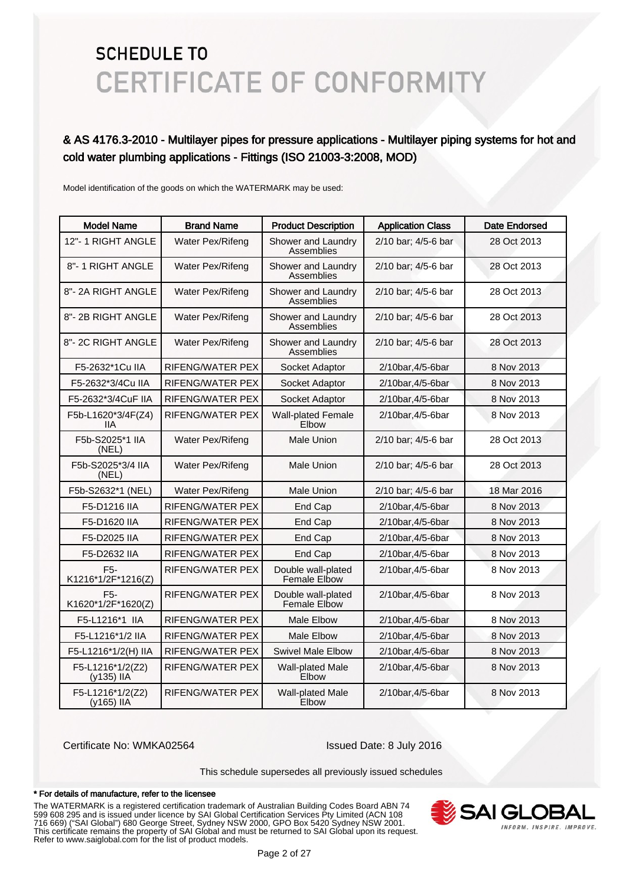### & AS 4176.3-2010 - Multilayer pipes for pressure applications - Multilayer piping systems for hot and cold water plumbing applications - Fittings (ISO 21003-3:2008, MOD)

Model identification of the goods on which the WATERMARK may be used:

| <b>Model Name</b>                      | <b>Brand Name</b> | <b>Product Description</b>                | <b>Application Class</b> | Date Endorsed |
|----------------------------------------|-------------------|-------------------------------------------|--------------------------|---------------|
| 12"-1 RIGHT ANGLE                      | Water Pex/Rifeng  | Shower and Laundry<br>Assemblies          | 2/10 bar; 4/5-6 bar      | 28 Oct 2013   |
| 8"-1 RIGHT ANGLE                       | Water Pex/Rifeng  | Shower and Laundry<br>Assemblies          | 2/10 bar; 4/5-6 bar      | 28 Oct 2013   |
| 8"-2A RIGHT ANGLE                      | Water Pex/Rifeng  | Shower and Laundry<br>Assemblies          | 2/10 bar; 4/5-6 bar      | 28 Oct 2013   |
| 8"-2B RIGHT ANGLE                      | Water Pex/Rifeng  | Shower and Laundry<br>Assemblies          | 2/10 bar; 4/5-6 bar      | 28 Oct 2013   |
| 8"-2C RIGHT ANGLE                      | Water Pex/Rifeng  | Shower and Laundry<br>Assemblies          | 2/10 bar; 4/5-6 bar      | 28 Oct 2013   |
| F5-2632*1Cu IIA                        | RIFENG/WATER PEX  | Socket Adaptor                            | 2/10bar.4/5-6bar         | 8 Nov 2013    |
| F5-2632*3/4Cu IIA                      | RIFENG/WATER PEX  | Socket Adaptor                            | 2/10bar, 4/5-6bar        | 8 Nov 2013    |
| F5-2632*3/4CuF IIA                     | RIFENG/WATER PEX  | Socket Adaptor                            | 2/10bar, 4/5-6bar        | 8 Nov 2013    |
| F5b-L1620*3/4F(Z4)<br>11A              | RIFENG/WATER PEX  | <b>Wall-plated Female</b><br>Elbow        | 2/10bar, 4/5-6bar        | 8 Nov 2013    |
| F5b-S2025*1 IIA<br>(NEL)               | Water Pex/Rifeng  | Male Union                                | 2/10 bar; 4/5-6 bar      | 28 Oct 2013   |
| F5b-S2025*3/4 IIA<br>(NEL)             | Water Pex/Rifeng  | Male Union                                | 2/10 bar; 4/5-6 bar      | 28 Oct 2013   |
| F5b-S2632*1 (NEL)                      | Water Pex/Rifeng  | <b>Male Union</b>                         | 2/10 bar; 4/5-6 bar      | 18 Mar 2016   |
| F5-D1216 IIA                           | RIFENG/WATER PEX  | End Cap                                   | 2/10bar, 4/5-6bar        | 8 Nov 2013    |
| F5-D1620 IIA                           | RIFENG/WATER PEX  | End Cap                                   | 2/10bar, 4/5-6bar        | 8 Nov 2013    |
| F5-D2025 IIA                           | RIFENG/WATER PEX  | End Cap                                   | 2/10bar, 4/5-6bar        | 8 Nov 2013    |
| F5-D2632 IIA                           | RIFENG/WATER PEX  | End Cap                                   | 2/10bar, 4/5-6bar        | 8 Nov 2013    |
| F <sub>5</sub> -<br>K1216*1/2F*1216(Z) | RIFENG/WATER PEX  | Double wall-plated<br>Female Elbow        | 2/10bar, 4/5-6bar        | 8 Nov 2013    |
| F <sub>5</sub> -<br>K1620*1/2F*1620(Z) | RIFENG/WATER PEX  | Double wall-plated<br><b>Female Elbow</b> | 2/10bar, 4/5-6bar        | 8 Nov 2013    |
| F5-L1216*1 IIA                         | RIFENG/WATER PEX  | <b>Male Elbow</b>                         | 2/10bar, 4/5-6bar        | 8 Nov 2013    |
| F5-L1216*1/2 IIA                       | RIFENG/WATER PEX  | <b>Male Elbow</b>                         | 2/10bar, 4/5-6bar        | 8 Nov 2013    |
| F5-L1216*1/2(H) IIA                    | RIFENG/WATER PEX  | <b>Swivel Male Elbow</b>                  | 2/10bar, 4/5-6bar        | 8 Nov 2013    |
| F5-L1216*1/2(Z2)<br>(y135) IIA         | RIFENG/WATER PEX  | <b>Wall-plated Male</b><br>Elbow          | 2/10bar, 4/5-6bar        | 8 Nov 2013    |
| F5-L1216*1/2(Z2)<br>(y165) IIA         | RIFENG/WATER PEX  | <b>Wall-plated Male</b><br>Elbow          | 2/10bar, 4/5-6bar        | 8 Nov 2013    |

Certificate No: WMKA02564 Issued Date: 8 July 2016

This schedule supersedes all previously issued schedules

#### \* For details of manufacture, refer to the licensee

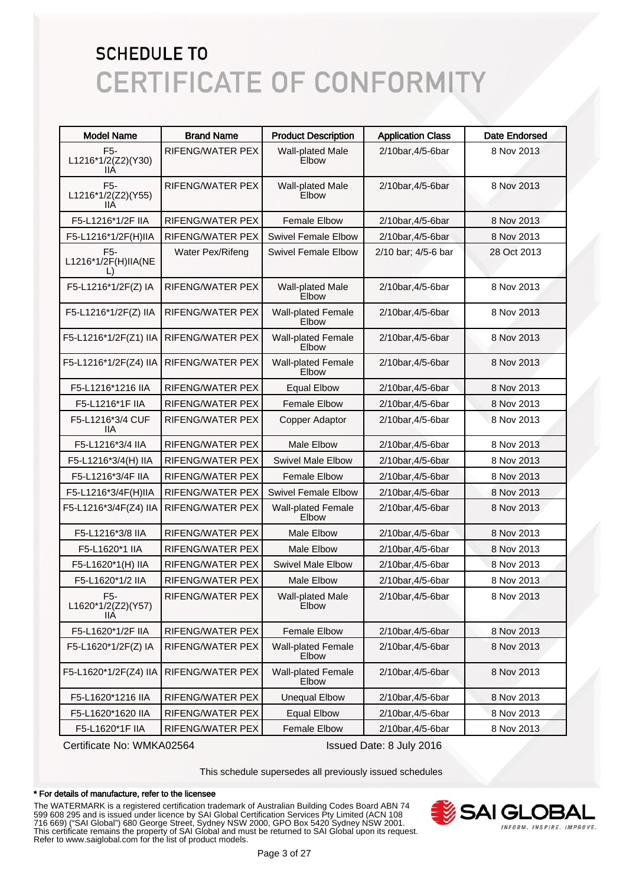| <b>Model Name</b>                             | <b>Brand Name</b>       | <b>Product Description</b>         | <b>Application Class</b> | <b>Date Endorsed</b> |
|-----------------------------------------------|-------------------------|------------------------------------|--------------------------|----------------------|
| F <sub>5</sub> -<br>L1216*1/2(Z2)(Y30)<br>llА | RIFENG/WATER PEX        | Wall-plated Male<br>Elbow          | 2/10bar, 4/5-6bar        | 8 Nov 2013           |
| F <sub>5</sub> -<br>L1216*1/2(Z2)(Y55)<br>ШA  | RIFENG/WATER PEX        | <b>Wall-plated Male</b><br>Elbow   | 2/10bar, 4/5-6bar        | 8 Nov 2013           |
| F5-L1216*1/2F IIA                             | <b>RIFENG/WATER PEX</b> | <b>Female Elbow</b>                | 2/10bar, 4/5-6bar        | 8 Nov 2013           |
| F5-L1216*1/2F(H)IIA                           | <b>RIFENG/WATER PEX</b> | <b>Swivel Female Elbow</b>         | 2/10bar, 4/5-6bar        | 8 Nov 2013           |
| F <sub>5</sub> -<br>L1216*1/2F(H)IIA(NE       | Water Pex/Rifeng        | <b>Swivel Female Elbow</b>         | 2/10 bar; 4/5-6 bar      | 28 Oct 2013          |
| F5-L1216*1/2F(Z) IA                           | RIFENG/WATER PEX        | <b>Wall-plated Male</b><br>Elbow   | 2/10bar, 4/5-6bar        | 8 Nov 2013           |
| F5-L1216*1/2F(Z) IIA                          | <b>RIFENG/WATER PEX</b> | <b>Wall-plated Female</b><br>Elbow | 2/10bar, 4/5-6bar        | 8 Nov 2013           |
| F5-L1216*1/2F(Z1) IIA                         | RIFENG/WATER PEX        | <b>Wall-plated Female</b><br>Elbow | 2/10bar, 4/5-6bar        | 8 Nov 2013           |
| F5-L1216*1/2F(Z4) IIA                         | RIFENG/WATER PEX        | <b>Wall-plated Female</b><br>Elbow | 2/10bar, 4/5-6bar        | 8 Nov 2013           |
| F5-L1216*1216 IIA                             | RIFENG/WATER PEX        | <b>Equal Elbow</b>                 | 2/10bar, 4/5-6bar        | 8 Nov 2013           |
| F5-L1216*1F IIA                               | RIFENG/WATER PEX        | <b>Female Elbow</b>                | 2/10bar, 4/5-6bar        | 8 Nov 2013           |
| F5-L1216*3/4 CUF<br>ШA                        | RIFENG/WATER PEX        | Copper Adaptor                     | 2/10bar, 4/5-6bar        | 8 Nov 2013           |
| F5-L1216*3/4 IIA                              | RIFENG/WATER PEX        | <b>Male Elbow</b>                  | 2/10bar, 4/5-6bar        | 8 Nov 2013           |
| F5-L1216*3/4(H) IIA                           | <b>RIFENG/WATER PEX</b> | <b>Swivel Male Elbow</b>           | 2/10bar, 4/5-6bar        | 8 Nov 2013           |
| F5-L1216*3/4F IIA                             | RIFENG/WATER PEX        | <b>Female Elbow</b>                | 2/10bar, 4/5-6bar        | 8 Nov 2013           |
| F5-L1216*3/4F(H)IIA                           | RIFENG/WATER PEX        | <b>Swivel Female Elbow</b>         | 2/10bar, 4/5-6bar        | 8 Nov 2013           |
| F5-L1216*3/4F(Z4) IIA                         | RIFENG/WATER PEX        | <b>Wall-plated Female</b><br>Elbow | 2/10bar, 4/5-6bar        | 8 Nov 2013           |
| F5-L1216*3/8 IIA                              | RIFENG/WATER PEX        | Male Elbow                         | 2/10bar, 4/5-6bar        | 8 Nov 2013           |
| F5-L1620*1 IIA                                | <b>RIFENG/WATER PEX</b> | Male Elbow                         | 2/10bar, 4/5-6bar        | 8 Nov 2013           |
| F5-L1620*1(H) IIA                             | RIFENG/WATER PEX        | <b>Swivel Male Elbow</b>           | 2/10bar, 4/5-6bar        | 8 Nov 2013           |
| F5-L1620*1/2 IIA                              | RIFENG/WATER PEX        | Male Elbow                         | 2/10bar, 4/5-6bar        | 8 Nov 2013           |
| F5-<br>L1620*1/2(Z2)(Y57)<br>llА              | RIFENG/WATER PEX        | <b>Wall-plated Male</b><br>Elbow   | 2/10bar, 4/5-6bar        | 8 Nov 2013           |
| F5-L1620*1/2F IIA                             | RIFENG/WATER PEX        | <b>Female Elbow</b>                | 2/10bar, 4/5-6bar        | 8 Nov 2013           |
| F5-L1620*1/2F(Z) IA                           | RIFENG/WATER PEX        | <b>Wall-plated Female</b><br>Elbow | 2/10bar, 4/5-6bar        | 8 Nov 2013           |
| F5-L1620*1/2F(Z4) IIA                         | RIFENG/WATER PEX        | <b>Wall-plated Female</b><br>Elbow | 2/10bar, 4/5-6bar        | 8 Nov 2013           |
| F5-L1620*1216 IIA                             | RIFENG/WATER PEX        | <b>Unequal Elbow</b>               | 2/10bar, 4/5-6bar        | 8 Nov 2013           |
| F5-L1620*1620 IIA                             | RIFENG/WATER PEX        | <b>Equal Elbow</b>                 | 2/10bar, 4/5-6bar        | 8 Nov 2013           |
| F5-L1620*1F IIA                               | RIFENG/WATER PEX        | Female Elbow                       | 2/10bar, 4/5-6bar        | 8 Nov 2013           |

Certificate No: WMKA02564 Issued Date: 8 July 2016

This schedule supersedes all previously issued schedules

#### \* For details of manufacture, refer to the licensee

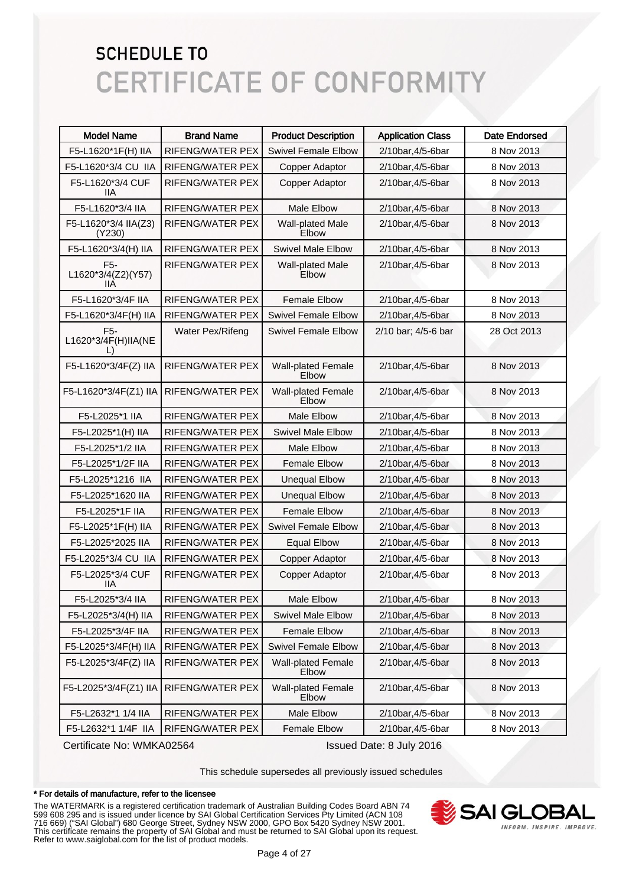| <b>Model Name</b>                                 | <b>Brand Name</b>       | <b>Product Description</b>         | <b>Application Class</b> | <b>Date Endorsed</b> |
|---------------------------------------------------|-------------------------|------------------------------------|--------------------------|----------------------|
| F5-L1620*1F(H) IIA                                | RIFENG/WATER PEX        | <b>Swivel Female Elbow</b>         | 2/10bar, 4/5-6bar        | 8 Nov 2013           |
| F5-L1620*3/4 CU IIA                               | RIFENG/WATER PEX        | Copper Adaptor                     | 2/10bar, 4/5-6bar        | 8 Nov 2013           |
| F5-L1620*3/4 CUF<br>IIА                           | RIFENG/WATER PEX        | Copper Adaptor                     | 2/10bar, 4/5-6bar        | 8 Nov 2013           |
| F5-L1620*3/4 IIA                                  | <b>RIFENG/WATER PEX</b> | <b>Male Elbow</b>                  | 2/10bar, 4/5-6bar        | 8 Nov 2013           |
| F5-L1620*3/4 IIA(Z3)<br>(Y230)                    | <b>RIFENG/WATER PEX</b> | Wall-plated Male<br>Elbow          | 2/10bar, 4/5-6bar        | 8 Nov 2013           |
| F5-L1620*3/4(H) IIA                               | <b>RIFENG/WATER PEX</b> | <b>Swivel Male Elbow</b>           | 2/10bar, 4/5-6bar        | 8 Nov 2013           |
| F <sub>5</sub> -<br>L1620*3/4(Z2)(Y57)<br>IIА     | <b>RIFENG/WATER PEX</b> | Wall-plated Male<br>Elbow          | 2/10bar, 4/5-6bar        | 8 Nov 2013           |
| F5-L1620*3/4F IIA                                 | <b>RIFENG/WATER PEX</b> | <b>Female Elbow</b>                | 2/10bar, 4/5-6bar        | 8 Nov 2013           |
| F5-L1620*3/4F(H) IIA                              | <b>RIFENG/WATER PEX</b> | <b>Swivel Female Elbow</b>         | 2/10bar, 4/5-6bar        | 8 Nov 2013           |
| F <sub>5</sub> -<br>L1620*3/4F(H)IIA(NE<br>$\Box$ | Water Pex/Rifeng        | <b>Swivel Female Elbow</b>         | 2/10 bar; 4/5-6 bar      | 28 Oct 2013          |
| F5-L1620*3/4F(Z) IIA                              | <b>RIFENG/WATER PEX</b> | <b>Wall-plated Female</b><br>Elbow | 2/10bar, 4/5-6bar        | 8 Nov 2013           |
| F5-L1620*3/4F(Z1) IIA                             | <b>RIFENG/WATER PEX</b> | <b>Wall-plated Female</b><br>Elbow | 2/10bar, 4/5-6bar        | 8 Nov 2013           |
| F5-L2025*1 IIA                                    | <b>RIFENG/WATER PEX</b> | Male Elbow                         | 2/10bar, 4/5-6bar        | 8 Nov 2013           |
| F5-L2025*1(H) IIA                                 | RIFENG/WATER PEX        | <b>Swivel Male Elbow</b>           | 2/10bar, 4/5-6bar        | 8 Nov 2013           |
| F5-L2025*1/2 IIA                                  | RIFENG/WATER PEX        | Male Elbow                         | 2/10bar, 4/5-6bar        | 8 Nov 2013           |
| F5-L2025*1/2F IIA                                 | RIFENG/WATER PEX        | <b>Female Elbow</b>                | 2/10bar, 4/5-6bar        | 8 Nov 2013           |
| F5-L2025*1216 IIA                                 | RIFENG/WATER PEX        | <b>Unequal Elbow</b>               | 2/10bar, 4/5-6bar        | 8 Nov 2013           |
| F5-L2025*1620 IIA                                 | RIFENG/WATER PEX        | <b>Unequal Elbow</b>               | 2/10bar, 4/5-6bar        | 8 Nov 2013           |
| F5-L2025*1F IIA                                   | RIFENG/WATER PEX        | <b>Female Elbow</b>                | 2/10bar, 4/5-6bar        | 8 Nov 2013           |
| F5-L2025*1F(H) IIA                                | RIFENG/WATER PEX        | <b>Swivel Female Elbow</b>         | 2/10bar, 4/5-6bar        | 8 Nov 2013           |
| F5-L2025*2025 IIA                                 | RIFENG/WATER PEX        | <b>Equal Elbow</b>                 | 2/10bar, 4/5-6bar        | 8 Nov 2013           |
| F5-L2025*3/4 CU IIA                               | <b>RIFENG/WATER PEX</b> | Copper Adaptor                     | 2/10bar, 4/5-6bar        | 8 Nov 2013           |
| F5-L2025*3/4 CUF<br>IIА                           | <b>RIFENG/WATER PEX</b> | Copper Adaptor                     | 2/10bar, 4/5-6bar        | 8 Nov 2013           |
| F5-L2025*3/4 IIA                                  | RIFENG/WATER PEX        | Male Elbow                         | 2/10bar, 4/5-6bar        | 8 Nov 2013           |
| F5-L2025*3/4(H) IIA                               | RIFENG/WATER PEX        | Swivel Male Elbow                  | 2/10bar, 4/5-6bar        | 8 Nov 2013           |
| F5-L2025*3/4F IIA                                 | RIFENG/WATER PEX        | <b>Female Elbow</b>                | 2/10bar, 4/5-6bar        | 8 Nov 2013           |
| F5-L2025*3/4F(H) IIA                              | RIFENG/WATER PEX        | Swivel Female Elbow                | 2/10bar, 4/5-6bar        | 8 Nov 2013           |
| F5-L2025*3/4F(Z) IIA                              | RIFENG/WATER PEX        | <b>Wall-plated Female</b><br>Elbow | 2/10bar, 4/5-6bar        | 8 Nov 2013           |
| F5-L2025*3/4F(Z1) IIA                             | RIFENG/WATER PEX        | <b>Wall-plated Female</b><br>Elbow | 2/10bar, 4/5-6bar        | 8 Nov 2013           |
| F5-L2632*1 1/4 IIA                                | RIFENG/WATER PEX        | Male Elbow                         | 2/10bar, 4/5-6bar        | 8 Nov 2013           |
| F5-L2632*1 1/4F IIA                               | RIFENG/WATER PEX        | Female Elbow                       | 2/10bar, 4/5-6bar        | 8 Nov 2013           |

Certificate No: WMKA02564 Issued Date: 8 July 2016

This schedule supersedes all previously issued schedules

#### \* For details of manufacture, refer to the licensee

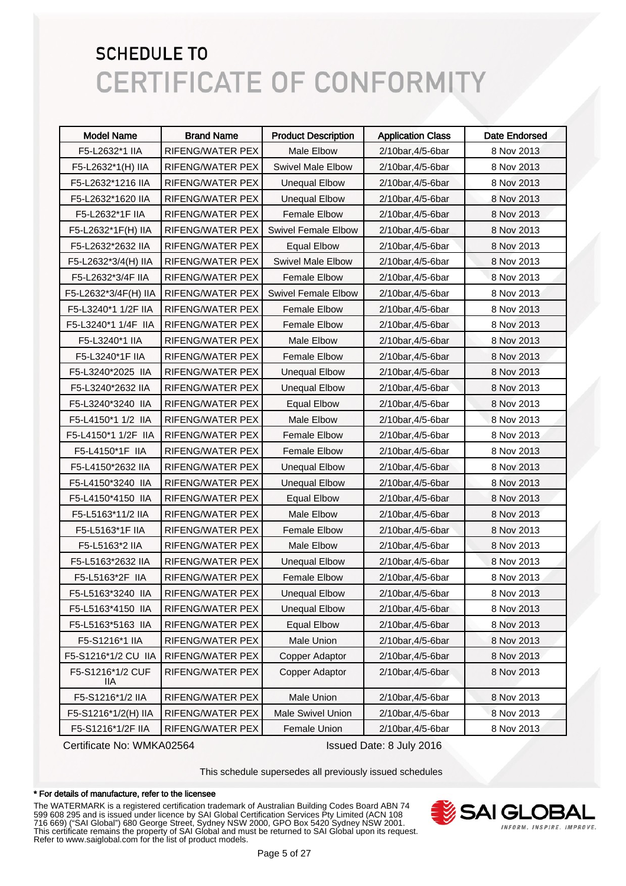| <b>Model Name</b>        | <b>Brand Name</b> | <b>Product Description</b> | <b>Application Class</b> | Date Endorsed |
|--------------------------|-------------------|----------------------------|--------------------------|---------------|
| F5-L2632*1 IIA           | RIFENG/WATER PEX  | Male Elbow                 | 2/10bar, 4/5-6bar        | 8 Nov 2013    |
| F5-L2632*1(H) IIA        | RIFENG/WATER PEX  | <b>Swivel Male Elbow</b>   | 2/10bar, 4/5-6bar        | 8 Nov 2013    |
| F5-L2632*1216 IIA        | RIFENG/WATER PEX  | <b>Unequal Elbow</b>       | 2/10bar, 4/5-6bar        | 8 Nov 2013    |
| F5-L2632*1620 IIA        | RIFENG/WATER PEX  | <b>Unequal Elbow</b>       | 2/10bar, 4/5-6bar        | 8 Nov 2013    |
| F5-L2632*1F IIA          | RIFENG/WATER PEX  | <b>Female Elbow</b>        | 2/10bar, 4/5-6bar        | 8 Nov 2013    |
| F5-L2632*1F(H) IIA       | RIFENG/WATER PEX  | <b>Swivel Female Elbow</b> | 2/10bar, 4/5-6bar        | 8 Nov 2013    |
| F5-L2632*2632 IIA        | RIFENG/WATER PEX  | <b>Equal Elbow</b>         | 2/10bar, 4/5-6bar        | 8 Nov 2013    |
| F5-L2632*3/4(H) IIA      | RIFENG/WATER PEX  | Swivel Male Elbow          | 2/10bar, 4/5-6bar        | 8 Nov 2013    |
| F5-L2632*3/4F IIA        | RIFENG/WATER PEX  | <b>Female Elbow</b>        | 2/10bar, 4/5-6bar        | 8 Nov 2013    |
| F5-L2632*3/4F(H) IIA     | RIFENG/WATER PEX  | <b>Swivel Female Elbow</b> | 2/10bar, 4/5-6bar        | 8 Nov 2013    |
| F5-L3240*1 1/2F IIA      | RIFENG/WATER PEX  | <b>Female Elbow</b>        | 2/10bar, 4/5-6bar        | 8 Nov 2013    |
| F5-L3240*1 1/4F IIA      | RIFENG/WATER PEX  | <b>Female Elbow</b>        | 2/10bar, 4/5-6bar        | 8 Nov 2013    |
| F5-L3240*1 IIA           | RIFENG/WATER PEX  | Male Elbow                 | 2/10bar, 4/5-6bar        | 8 Nov 2013    |
| F5-L3240*1F IIA          | RIFENG/WATER PEX  | <b>Female Elbow</b>        | 2/10bar, 4/5-6bar        | 8 Nov 2013    |
| F5-L3240*2025 IIA        | RIFENG/WATER PEX  | <b>Unequal Elbow</b>       | 2/10bar, 4/5-6bar        | 8 Nov 2013    |
| F5-L3240*2632 IIA        | RIFENG/WATER PEX  | <b>Unequal Elbow</b>       | 2/10bar, 4/5-6bar        | 8 Nov 2013    |
| F5-L3240*3240 IIA        | RIFENG/WATER PEX  | <b>Equal Elbow</b>         | 2/10bar, 4/5-6bar        | 8 Nov 2013    |
| F5-L4150*1 1/2 IIA       | RIFENG/WATER PEX  | Male Elbow                 | 2/10bar, 4/5-6bar        | 8 Nov 2013    |
| F5-L4150*1 1/2F IIA      | RIFENG/WATER PEX  | <b>Female Elbow</b>        | 2/10bar, 4/5-6bar        | 8 Nov 2013    |
| F5-L4150*1F IIA          | RIFENG/WATER PEX  | <b>Female Elbow</b>        | 2/10bar, 4/5-6bar        | 8 Nov 2013    |
| F5-L4150*2632 IIA        | RIFENG/WATER PEX  | <b>Unequal Elbow</b>       | 2/10bar, 4/5-6bar        | 8 Nov 2013    |
| F5-L4150*3240 IIA        | RIFENG/WATER PEX  | <b>Unequal Elbow</b>       | 2/10bar, 4/5-6bar        | 8 Nov 2013    |
| F5-L4150*4150 IIA        | RIFENG/WATER PEX  | <b>Equal Elbow</b>         | 2/10bar, 4/5-6bar        | 8 Nov 2013    |
| F5-L5163*11/2 IIA        | RIFENG/WATER PEX  | Male Elbow                 | 2/10bar, 4/5-6bar        | 8 Nov 2013    |
| F5-L5163*1F IIA          | RIFENG/WATER PEX  | <b>Female Elbow</b>        | 2/10bar, 4/5-6bar        | 8 Nov 2013    |
| F5-L5163*2 IIA           | RIFENG/WATER PEX  | Male Elbow                 | 2/10bar, 4/5-6bar        | 8 Nov 2013    |
| F5-L5163*2632 IIA        | RIFENG/WATER PEX  | <b>Unequal Elbow</b>       | 2/10bar, 4/5-6bar        | 8 Nov 2013    |
| F5-L5163*2F IIA          | RIFENG/WATER PEX  | <b>Female Elbow</b>        | 2/10bar, 4/5-6bar        | 8 Nov 2013    |
| F5-L5163*3240 IIA        | RIFENG/WATER PEX  | <b>Unequal Elbow</b>       | 2/10bar, 4/5-6bar        | 8 Nov 2013    |
| F5-L5163*4150 IIA        | RIFENG/WATER PEX  | <b>Unequal Elbow</b>       | 2/10bar, 4/5-6bar        | 8 Nov 2013    |
| F5-L5163*5163 IIA        | RIFENG/WATER PEX  | <b>Equal Elbow</b>         | 2/10bar, 4/5-6bar        | 8 Nov 2013    |
| F5-S1216*1 IIA           | RIFENG/WATER PEX  | Male Union                 | 2/10bar, 4/5-6bar        | 8 Nov 2013    |
| F5-S1216*1/2 CU IIA      | RIFENG/WATER PEX  | Copper Adaptor             | 2/10bar, 4/5-6bar        | 8 Nov 2013    |
| F5-S1216*1/2 CUF<br>IIA. | RIFENG/WATER PEX  | <b>Copper Adaptor</b>      | 2/10bar, 4/5-6bar        | 8 Nov 2013    |
| F5-S1216*1/2 IIA         | RIFENG/WATER PEX  | Male Union                 | 2/10bar, 4/5-6bar        | 8 Nov 2013    |
| F5-S1216*1/2(H) IIA      | RIFENG/WATER PEX  | <b>Male Swivel Union</b>   | 2/10bar, 4/5-6bar        | 8 Nov 2013    |
| F5-S1216*1/2F IIA        | RIFENG/WATER PEX  | Female Union               | 2/10bar, 4/5-6bar        | 8 Nov 2013    |

Certificate No: WMKA02564 Issued Date: 8 July 2016

This schedule supersedes all previously issued schedules

#### \* For details of manufacture, refer to the licensee

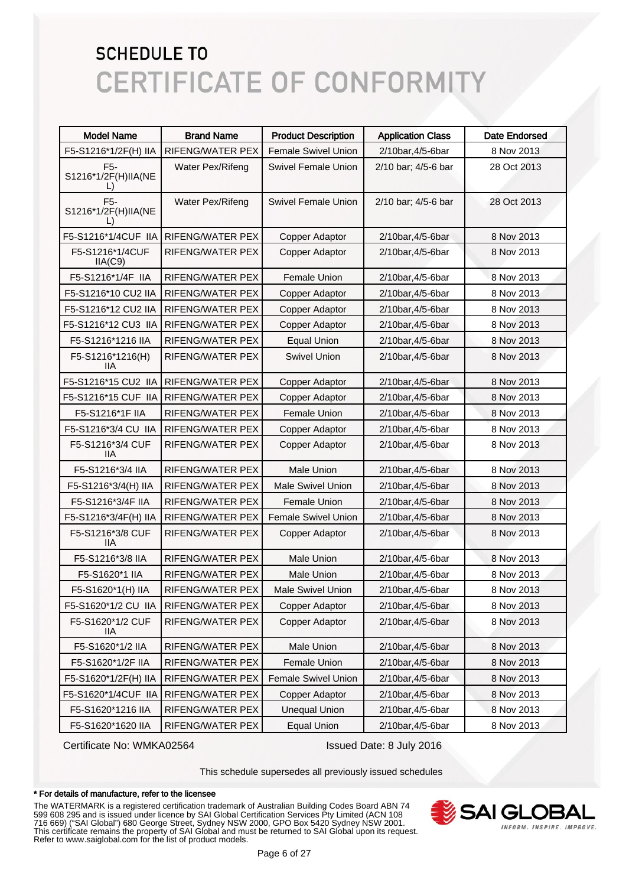| <b>Model Name</b>                            | <b>Brand Name</b>       | <b>Product Description</b> | <b>Application Class</b> | <b>Date Endorsed</b> |
|----------------------------------------------|-------------------------|----------------------------|--------------------------|----------------------|
| F5-S1216*1/2F(H) IIA                         | <b>RIFENG/WATER PEX</b> | <b>Female Swivel Union</b> | 2/10bar, 4/5-6bar        | 8 Nov 2013           |
| F <sub>5</sub> -<br>S1216*1/2F(H)IIA(NE<br>ш | Water Pex/Rifeng        | <b>Swivel Female Union</b> | 2/10 bar; 4/5-6 bar      | 28 Oct 2013          |
| F <sub>5</sub> -<br>S1216*1/2F(H)IIA(NE      | Water Pex/Rifeng        | <b>Swivel Female Union</b> | 2/10 bar; 4/5-6 bar      | 28 Oct 2013          |
| F5-S1216*1/4CUF IIA                          | RIFENG/WATER PEX        | <b>Copper Adaptor</b>      | 2/10bar, 4/5-6bar        | 8 Nov 2013           |
| F5-S1216*1/4CUF<br>IIA(C9)                   | RIFENG/WATER PEX        | Copper Adaptor             | 2/10bar, 4/5-6bar        | 8 Nov 2013           |
| F5-S1216*1/4F IIA                            | <b>RIFENG/WATER PEX</b> | <b>Female Union</b>        | 2/10bar, 4/5-6bar        | 8 Nov 2013           |
| F5-S1216*10 CU2 IIA                          | <b>RIFENG/WATER PEX</b> | Copper Adaptor             | 2/10bar, 4/5-6bar        | 8 Nov 2013           |
| F5-S1216*12 CU2 IIA                          | RIFENG/WATER PEX        | <b>Copper Adaptor</b>      | 2/10bar, 4/5-6bar        | 8 Nov 2013           |
| F5-S1216*12 CU3 IIA                          | RIFENG/WATER PEX        | Copper Adaptor             | 2/10bar, 4/5-6bar        | 8 Nov 2013           |
| F5-S1216*1216 IIA                            | RIFENG/WATER PEX        | <b>Equal Union</b>         | 2/10bar, 4/5-6bar        | 8 Nov 2013           |
| F5-S1216*1216(H)<br><b>IIA</b>               | RIFENG/WATER PEX        | <b>Swivel Union</b>        | 2/10bar, 4/5-6bar        | 8 Nov 2013           |
| F5-S1216*15 CU2 IIA                          | RIFENG/WATER PEX        | Copper Adaptor             | 2/10bar, 4/5-6bar        | 8 Nov 2013           |
| F5-S1216*15 CUF IIA                          | <b>RIFENG/WATER PEX</b> | Copper Adaptor             | 2/10bar, 4/5-6bar        | 8 Nov 2013           |
| F5-S1216*1F IIA                              | <b>RIFENG/WATER PEX</b> | Female Union               | 2/10bar, 4/5-6bar        | 8 Nov 2013           |
| F5-S1216*3/4 CU IIA                          | RIFENG/WATER PEX        | Copper Adaptor             | 2/10bar, 4/5-6bar        | 8 Nov 2013           |
| F5-S1216*3/4 CUF<br>11A                      | RIFENG/WATER PEX        | Copper Adaptor             | 2/10bar, 4/5-6bar        | 8 Nov 2013           |
| F5-S1216*3/4 IIA                             | RIFENG/WATER PEX        | <b>Male Union</b>          | 2/10bar, 4/5-6bar        | 8 Nov 2013           |
| F5-S1216*3/4(H) IIA                          | RIFENG/WATER PEX        | <b>Male Swivel Union</b>   | 2/10bar, 4/5-6bar        | 8 Nov 2013           |
| F5-S1216*3/4F IIA                            | RIFENG/WATER PEX        | Female Union               | 2/10bar, 4/5-6bar        | 8 Nov 2013           |
| F5-S1216*3/4F(H) IIA                         | RIFENG/WATER PEX        | <b>Female Swivel Union</b> | 2/10bar, 4/5-6bar        | 8 Nov 2013           |
| F5-S1216*3/8 CUF<br>11A                      | RIFENG/WATER PEX        | Copper Adaptor             | 2/10bar, 4/5-6bar        | 8 Nov 2013           |
| F5-S1216*3/8 IIA                             | RIFENG/WATER PEX        | <b>Male Union</b>          | 2/10bar, 4/5-6bar        | 8 Nov 2013           |
| F5-S1620*1 IIA                               | RIFENG/WATER PEX        | <b>Male Union</b>          | 2/10bar, 4/5-6bar        | 8 Nov 2013           |
| F5-S1620*1(H) IIA                            | <b>RIFENG/WATER PEX</b> | <b>Male Swivel Union</b>   | 2/10bar, 4/5-6bar        | 8 Nov 2013           |
| F5-S1620*1/2 CU IIA                          | RIFENG/WATER PEX        | Copper Adaptor             | 2/10bar, 4/5-6bar        | 8 Nov 2013           |
| F5-S1620*1/2 CUF<br>IIA.                     | RIFENG/WATER PEX        | Copper Adaptor             | 2/10bar, 4/5-6bar        | 8 Nov 2013           |
| F5-S1620*1/2 IIA                             | RIFENG/WATER PEX        | Male Union                 | 2/10bar, 4/5-6bar        | 8 Nov 2013           |
| F5-S1620*1/2F IIA                            | RIFENG/WATER PEX        | Female Union               | 2/10bar, 4/5-6bar        | 8 Nov 2013           |
| F5-S1620*1/2F(H) IIA                         | RIFENG/WATER PEX        | Female Swivel Union        | 2/10bar, 4/5-6bar        | 8 Nov 2013           |
| F5-S1620*1/4CUF IIA                          | RIFENG/WATER PEX        | <b>Copper Adaptor</b>      | 2/10bar, 4/5-6bar        | 8 Nov 2013           |
| F5-S1620*1216 IIA                            | RIFENG/WATER PEX        | <b>Unequal Union</b>       | 2/10bar, 4/5-6bar        | 8 Nov 2013           |
| F5-S1620*1620 IIA                            | RIFENG/WATER PEX        | <b>Equal Union</b>         | 2/10bar, 4/5-6bar        | 8 Nov 2013           |

Certificate No: WMKA02564 Issued Date: 8 July 2016

This schedule supersedes all previously issued schedules

#### \* For details of manufacture, refer to the licensee

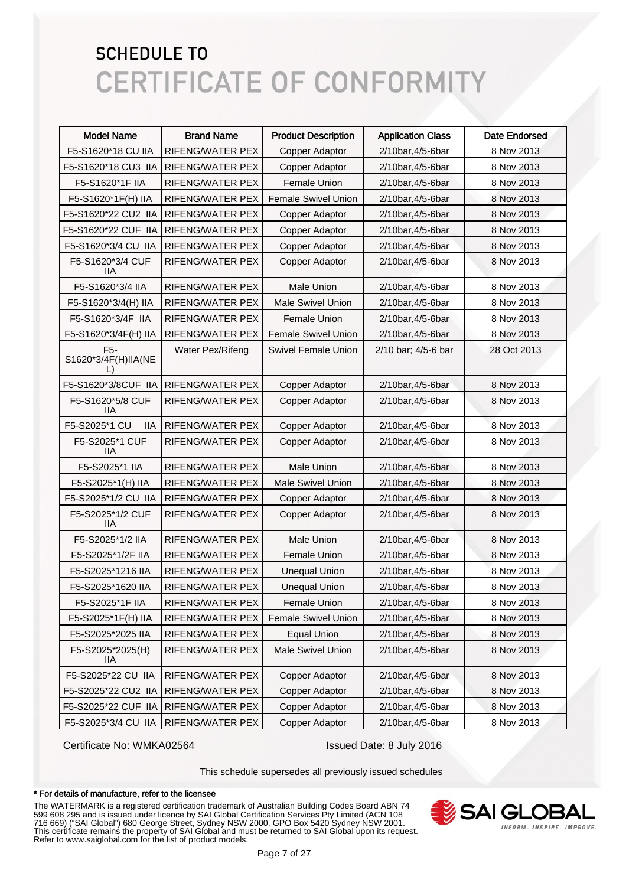| <b>Model Name</b>                                 | <b>Brand Name</b>       | <b>Product Description</b> | <b>Application Class</b> | <b>Date Endorsed</b> |
|---------------------------------------------------|-------------------------|----------------------------|--------------------------|----------------------|
| F5-S1620*18 CU IIA                                | RIFENG/WATER PEX        | Copper Adaptor             | 2/10bar, 4/5-6bar        | 8 Nov 2013           |
| F5-S1620*18 CU3 IIA                               | RIFENG/WATER PEX        | Copper Adaptor             | 2/10bar, 4/5-6bar        | 8 Nov 2013           |
| F5-S1620*1F IIA                                   | <b>RIFENG/WATER PEX</b> | <b>Female Union</b>        | 2/10bar, 4/5-6bar        | 8 Nov 2013           |
| F5-S1620*1F(H) IIA                                | RIFENG/WATER PEX        | <b>Female Swivel Union</b> | 2/10bar, 4/5-6bar        | 8 Nov 2013           |
| F5-S1620*22 CU2 IIA                               | RIFENG/WATER PEX        | Copper Adaptor             | 2/10bar, 4/5-6bar        | 8 Nov 2013           |
| F5-S1620*22 CUF IIA                               | RIFENG/WATER PEX        | <b>Copper Adaptor</b>      | 2/10bar, 4/5-6bar        | 8 Nov 2013           |
| F5-S1620*3/4 CU IIA                               | <b>RIFENG/WATER PEX</b> | Copper Adaptor             | 2/10bar, 4/5-6bar        | 8 Nov 2013           |
| F5-S1620*3/4 CUF<br>llА                           | <b>RIFENG/WATER PEX</b> | <b>Copper Adaptor</b>      | 2/10bar, 4/5-6bar        | 8 Nov 2013           |
| F5-S1620*3/4 IIA                                  | <b>RIFENG/WATER PEX</b> | <b>Male Union</b>          | 2/10bar, 4/5-6bar        | 8 Nov 2013           |
| F5-S1620*3/4(H) IIA                               | RIFENG/WATER PEX        | Male Swivel Union          | 2/10bar, 4/5-6bar        | 8 Nov 2013           |
| F5-S1620*3/4F IIA                                 | RIFENG/WATER PEX        | <b>Female Union</b>        | 2/10bar, 4/5-6bar        | 8 Nov 2013           |
| F5-S1620*3/4F(H) IIA                              | RIFENG/WATER PEX        | Female Swivel Union        | 2/10bar, 4/5-6bar        | 8 Nov 2013           |
| F <sub>5</sub> -<br>S1620*3/4F(H)IIA(NE<br>$\Box$ | Water Pex/Rifeng        | <b>Swivel Female Union</b> | 2/10 bar; 4/5-6 bar      | 28 Oct 2013          |
| F5-S1620*3/8CUF IIA                               | <b>RIFENG/WATER PEX</b> | Copper Adaptor             | 2/10bar, 4/5-6bar        | 8 Nov 2013           |
| F5-S1620*5/8 CUF<br>llА                           | <b>RIFENG/WATER PEX</b> | <b>Copper Adaptor</b>      | 2/10bar, 4/5-6bar        | 8 Nov 2013           |
| F5-S2025*1 CU<br><b>IIA</b>                       | RIFENG/WATER PEX        | Copper Adaptor             | 2/10bar, 4/5-6bar        | 8 Nov 2013           |
| F5-S2025*1 CUF<br>liа                             | <b>RIFENG/WATER PEX</b> | Copper Adaptor             | 2/10bar, 4/5-6bar        | 8 Nov 2013           |
| F5-S2025*1 IIA                                    | <b>RIFENG/WATER PEX</b> | Male Union                 | 2/10bar, 4/5-6bar        | 8 Nov 2013           |
| F5-S2025*1(H) IIA                                 | RIFENG/WATER PEX        | <b>Male Swivel Union</b>   | 2/10bar, 4/5-6bar        | 8 Nov 2013           |
| F5-S2025*1/2 CU IIA                               | RIFENG/WATER PEX        | Copper Adaptor             | 2/10bar, 4/5-6bar        | 8 Nov 2013           |
| F5-S2025*1/2 CUF<br>llА                           | RIFENG/WATER PEX        | <b>Copper Adaptor</b>      | 2/10bar, 4/5-6bar        | 8 Nov 2013           |
| F5-S2025*1/2 IIA                                  | <b>RIFENG/WATER PEX</b> | <b>Male Union</b>          | 2/10bar, 4/5-6bar        | 8 Nov 2013           |
| F5-S2025*1/2F IIA                                 | RIFENG/WATER PEX        | Female Union               | 2/10bar, 4/5-6bar        | 8 Nov 2013           |
| F5-S2025*1216 IIA                                 | RIFENG/WATER PEX        | <b>Unequal Union</b>       | 2/10bar, 4/5-6bar        | 8 Nov 2013           |
| F5-S2025*1620 IIA                                 | RIFENG/WATER PEX        | <b>Unequal Union</b>       | 2/10bar, 4/5-6bar        | 8 Nov 2013           |
| F5-S2025*1F IIA                                   | RIFENG/WATER PEX        | Female Union               | 2/10bar, 4/5-6bar        | 8 Nov 2013           |
| F5-S2025*1F(H) IIA                                | RIFENG/WATER PEX        | Female Swivel Union        | 2/10bar, 4/5-6bar        | 8 Nov 2013           |
| F5-S2025*2025 IIA                                 | RIFENG/WATER PEX        | <b>Equal Union</b>         | 2/10bar, 4/5-6bar        | 8 Nov 2013           |
| F5-S2025*2025(H)<br>IIА                           | RIFENG/WATER PEX        | <b>Male Swivel Union</b>   | 2/10bar, 4/5-6bar        | 8 Nov 2013           |
| F5-S2025*22 CU IIA                                | RIFENG/WATER PEX        | Copper Adaptor             | 2/10bar, 4/5-6bar        | 8 Nov 2013           |
| F5-S2025*22 CU2 IIA                               | RIFENG/WATER PEX        | Copper Adaptor             | 2/10bar, 4/5-6bar        | 8 Nov 2013           |
| F5-S2025*22 CUF IIA                               | RIFENG/WATER PEX        | Copper Adaptor             | 2/10bar, 4/5-6bar        | 8 Nov 2013           |
| F5-S2025*3/4 CU IIA                               | RIFENG/WATER PEX        | Copper Adaptor             | 2/10bar, 4/5-6bar        | 8 Nov 2013           |

Certificate No: WMKA02564 Issued Date: 8 July 2016

This schedule supersedes all previously issued schedules

#### \* For details of manufacture, refer to the licensee

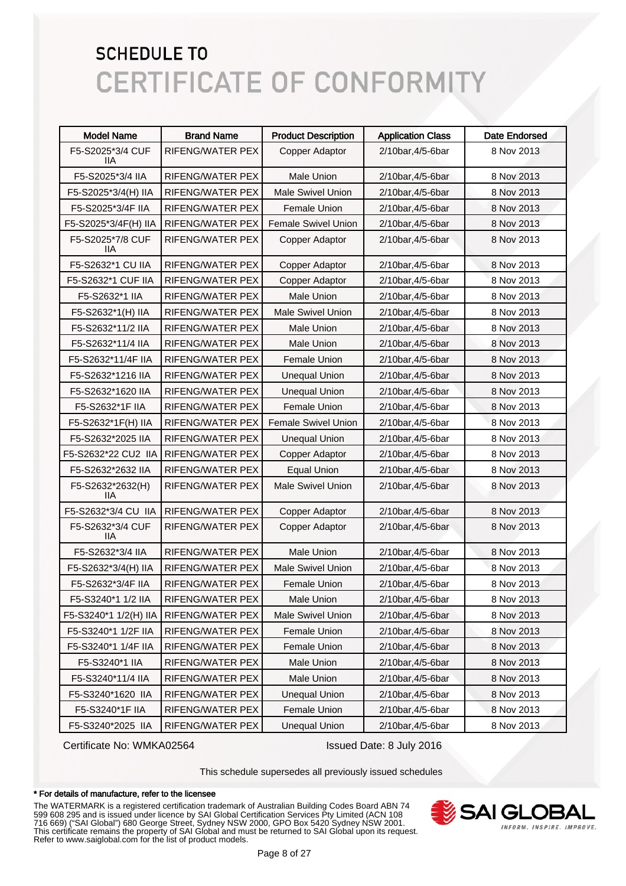| <b>Model Name</b>       | <b>Brand Name</b>       | <b>Product Description</b> | <b>Application Class</b> | <b>Date Endorsed</b> |
|-------------------------|-------------------------|----------------------------|--------------------------|----------------------|
| F5-S2025*3/4 CUF<br>ШA  | RIFENG/WATER PEX        | Copper Adaptor             | 2/10bar, 4/5-6bar        | 8 Nov 2013           |
| F5-S2025*3/4 IIA        | <b>RIFENG/WATER PEX</b> | <b>Male Union</b>          | 2/10bar, 4/5-6bar        | 8 Nov 2013           |
| F5-S2025*3/4(H) IIA     | RIFENG/WATER PEX        | Male Swivel Union          | 2/10bar, 4/5-6bar        | 8 Nov 2013           |
| F5-S2025*3/4F IIA       | <b>RIFENG/WATER PEX</b> | <b>Female Union</b>        | 2/10bar, 4/5-6bar        | 8 Nov 2013           |
| F5-S2025*3/4F(H) IIA    | <b>RIFENG/WATER PEX</b> | <b>Female Swivel Union</b> | 2/10bar, 4/5-6bar        | 8 Nov 2013           |
| F5-S2025*7/8 CUF<br>ШA  | RIFENG/WATER PEX        | Copper Adaptor             | 2/10bar, 4/5-6bar        | 8 Nov 2013           |
| F5-S2632*1 CU IIA       | <b>RIFENG/WATER PEX</b> | Copper Adaptor             | 2/10bar, 4/5-6bar        | 8 Nov 2013           |
| F5-S2632*1 CUF IIA      | <b>RIFENG/WATER PEX</b> | Copper Adaptor             | 2/10bar, 4/5-6bar        | 8 Nov 2013           |
| F5-S2632*1 IIA          | <b>RIFENG/WATER PEX</b> | <b>Male Union</b>          | 2/10bar, 4/5-6bar        | 8 Nov 2013           |
| F5-S2632*1(H) IIA       | <b>RIFENG/WATER PEX</b> | <b>Male Swivel Union</b>   | 2/10bar, 4/5-6bar        | 8 Nov 2013           |
| F5-S2632*11/2 IIA       | <b>RIFENG/WATER PEX</b> | <b>Male Union</b>          | 2/10bar, 4/5-6bar        | 8 Nov 2013           |
| F5-S2632*11/4 IIA       | <b>RIFENG/WATER PEX</b> | Male Union                 | 2/10bar, 4/5-6bar        | 8 Nov 2013           |
| F5-S2632*11/4F IIA      | <b>RIFENG/WATER PEX</b> | Female Union               | 2/10bar, 4/5-6bar        | 8 Nov 2013           |
| F5-S2632*1216 IIA       | RIFENG/WATER PEX        | <b>Unequal Union</b>       | 2/10bar, 4/5-6bar        | 8 Nov 2013           |
| F5-S2632*1620 IIA       | RIFENG/WATER PEX        | <b>Unequal Union</b>       | 2/10bar, 4/5-6bar        | 8 Nov 2013           |
| F5-S2632*1F IIA         | RIFENG/WATER PEX        | <b>Female Union</b>        | 2/10bar, 4/5-6bar        | 8 Nov 2013           |
| F5-S2632*1F(H) IIA      | <b>RIFENG/WATER PEX</b> | <b>Female Swivel Union</b> | 2/10bar, 4/5-6bar        | 8 Nov 2013           |
| F5-S2632*2025 IIA       | <b>RIFENG/WATER PEX</b> | <b>Unequal Union</b>       | 2/10bar, 4/5-6bar        | 8 Nov 2013           |
| F5-S2632*22 CU2 IIA     | RIFENG/WATER PEX        | Copper Adaptor             | 2/10bar, 4/5-6bar        | 8 Nov 2013           |
| F5-S2632*2632 IIA       | <b>RIFENG/WATER PEX</b> | <b>Equal Union</b>         | 2/10bar, 4/5-6bar        | 8 Nov 2013           |
| F5-S2632*2632(H)<br>ШA  | RIFENG/WATER PEX        | <b>Male Swivel Union</b>   | 2/10bar, 4/5-6bar        | 8 Nov 2013           |
| F5-S2632*3/4 CU IIA     | <b>RIFENG/WATER PEX</b> | Copper Adaptor             | 2/10bar, 4/5-6bar        | 8 Nov 2013           |
| F5-S2632*3/4 CUF<br>llА | RIFENG/WATER PEX        | Copper Adaptor             | 2/10bar, 4/5-6bar        | 8 Nov 2013           |
| F5-S2632*3/4 IIA        | RIFENG/WATER PEX        | <b>Male Union</b>          | 2/10bar, 4/5-6bar        | 8 Nov 2013           |
| F5-S2632*3/4(H) IIA     | RIFENG/WATER PEX        | Male Swivel Union          | 2/10bar, 4/5-6bar        | 8 Nov 2013           |
| F5-S2632*3/4F IIA       | RIFENG/WATER PEX        | <b>Female Union</b>        | 2/10bar, 4/5-6bar        | 8 Nov 2013           |
| F5-S3240*1 1/2 IIA      | RIFENG/WATER PEX        | Male Union                 | 2/10bar, 4/5-6bar        | 8 Nov 2013           |
| F5-S3240*1 1/2(H) IIA   | RIFENG/WATER PEX        | <b>Male Swivel Union</b>   | 2/10bar, 4/5-6bar        | 8 Nov 2013           |
| F5-S3240*1 1/2F IIA     | RIFENG/WATER PEX        | Female Union               | 2/10bar, 4/5-6bar        | 8 Nov 2013           |
| F5-S3240*1 1/4F IIA     | RIFENG/WATER PEX        | Female Union               | 2/10bar, 4/5-6bar        | 8 Nov 2013           |
| F5-S3240*1 IIA          | RIFENG/WATER PEX        | Male Union                 | 2/10bar, 4/5-6bar        | 8 Nov 2013           |
| F5-S3240*11/4 IIA       | RIFENG/WATER PEX        | Male Union                 | 2/10bar, 4/5-6bar        | 8 Nov 2013           |
| F5-S3240*1620 IIA       | RIFENG/WATER PEX        | <b>Unequal Union</b>       | 2/10bar, 4/5-6bar        | 8 Nov 2013           |
| F5-S3240*1F IIA         | RIFENG/WATER PEX        | Female Union               | 2/10bar, 4/5-6bar        | 8 Nov 2013           |
| F5-S3240*2025 IIA       | RIFENG/WATER PEX        | <b>Unequal Union</b>       | 2/10bar, 4/5-6bar        | 8 Nov 2013           |

Certificate No: WMKA02564 Issued Date: 8 July 2016

This schedule supersedes all previously issued schedules

#### \* For details of manufacture, refer to the licensee

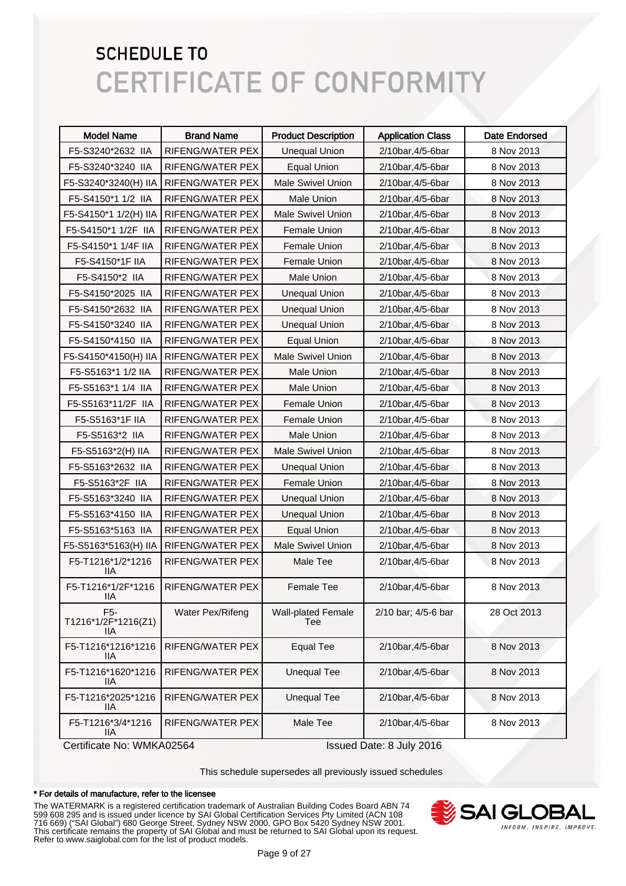| <b>Model Name</b>                              | <b>Brand Name</b>       | <b>Product Description</b>       | <b>Application Class</b> | <b>Date Endorsed</b> |
|------------------------------------------------|-------------------------|----------------------------------|--------------------------|----------------------|
| F5-S3240*2632 IIA                              | RIFENG/WATER PEX        | <b>Unequal Union</b>             | 2/10bar, 4/5-6bar        | 8 Nov 2013           |
| F5-S3240*3240 IIA                              | RIFENG/WATER PEX        | <b>Equal Union</b>               | 2/10bar, 4/5-6bar        | 8 Nov 2013           |
| F5-S3240*3240(H) IIA                           | RIFENG/WATER PEX        | <b>Male Swivel Union</b>         | 2/10bar, 4/5-6bar        | 8 Nov 2013           |
| F5-S4150*1 1/2 IIA                             | RIFENG/WATER PEX        | Male Union                       | 2/10bar, 4/5-6bar        | 8 Nov 2013           |
| F5-S4150*1 1/2(H) IIA                          | RIFENG/WATER PEX        | <b>Male Swivel Union</b>         | 2/10bar, 4/5-6bar        | 8 Nov 2013           |
| F5-S4150*1 1/2F IIA                            | RIFENG/WATER PEX        | Female Union                     | 2/10bar, 4/5-6bar        | 8 Nov 2013           |
| F5-S4150*1 1/4F IIA                            | RIFENG/WATER PEX        | Female Union                     | 2/10bar, 4/5-6bar        | 8 Nov 2013           |
| F5-S4150*1F IIA                                | RIFENG/WATER PEX        | Female Union                     | 2/10bar, 4/5-6bar        | 8 Nov 2013           |
| F5-S4150*2 IIA                                 | RIFENG/WATER PEX        | Male Union                       | 2/10bar, 4/5-6bar        | 8 Nov 2013           |
| F5-S4150*2025 IIA                              | RIFENG/WATER PEX        | <b>Unequal Union</b>             | 2/10bar, 4/5-6bar        | 8 Nov 2013           |
| F5-S4150*2632 IIA                              | RIFENG/WATER PEX        | <b>Unequal Union</b>             | 2/10bar, 4/5-6bar        | 8 Nov 2013           |
| F5-S4150*3240 IIA                              | RIFENG/WATER PEX        | <b>Unequal Union</b>             | 2/10bar, 4/5-6bar        | 8 Nov 2013           |
| F5-S4150*4150 IIA                              | RIFENG/WATER PEX        | <b>Equal Union</b>               | 2/10bar, 4/5-6bar        | 8 Nov 2013           |
| F5-S4150*4150(H) IIA                           | RIFENG/WATER PEX        | <b>Male Swivel Union</b>         | 2/10bar, 4/5-6bar        | 8 Nov 2013           |
| F5-S5163*1 1/2 IIA                             | RIFENG/WATER PEX        | Male Union                       | 2/10bar, 4/5-6bar        | 8 Nov 2013           |
| F5-S5163*1 1/4 IIA                             | RIFENG/WATER PEX        | Male Union                       | 2/10bar, 4/5-6bar        | 8 Nov 2013           |
| F5-S5163*11/2F IIA                             | RIFENG/WATER PEX        | Female Union                     | 2/10bar, 4/5-6bar        | 8 Nov 2013           |
| F5-S5163*1F IIA                                | RIFENG/WATER PEX        | Female Union                     | 2/10bar, 4/5-6bar        | 8 Nov 2013           |
| F5-S5163*2 IIA                                 | RIFENG/WATER PEX        | <b>Male Union</b>                | 2/10bar, 4/5-6bar        | 8 Nov 2013           |
| F5-S5163*2(H) IIA                              | RIFENG/WATER PEX        | <b>Male Swivel Union</b>         | 2/10bar, 4/5-6bar        | 8 Nov 2013           |
| F5-S5163*2632 IIA                              | RIFENG/WATER PEX        | <b>Unequal Union</b>             | 2/10bar, 4/5-6bar        | 8 Nov 2013           |
| F5-S5163*2F IIA                                | RIFENG/WATER PEX        | Female Union                     | 2/10bar, 4/5-6bar        | 8 Nov 2013           |
| F5-S5163*3240 IIA                              | RIFENG/WATER PEX        | <b>Unequal Union</b>             | 2/10bar, 4/5-6bar        | 8 Nov 2013           |
| F5-S5163*4150 IIA                              | RIFENG/WATER PEX        | <b>Unequal Union</b>             | 2/10bar, 4/5-6bar        | 8 Nov 2013           |
| F5-S5163*5163 IIA                              | RIFENG/WATER PEX        | <b>Equal Union</b>               | 2/10bar, 4/5-6bar        | 8 Nov 2013           |
| F5-S5163*5163(H) IIA                           | RIFENG/WATER PEX        | <b>Male Swivel Union</b>         | 2/10bar, 4/5-6bar        | 8 Nov 2013           |
| F5-T1216*1/2*1216<br>11A                       | RIFENG/WATER PEX        | Male Tee                         | 2/10bar, 4/5-6bar        | 8 Nov 2013           |
| F5-T1216*1/2F*1216<br>lia                      | RIFENG/WATER PEX        | Female Tee                       | 2/10bar, 4/5-6bar        | 8 Nov 2013           |
| F <sub>5</sub> -<br>T1216*1/2F*1216(Z1)<br>IIА | Water Pex/Rifeng        | <b>Wall-plated Female</b><br>Tee | 2/10 bar; 4/5-6 bar      | 28 Oct 2013          |
| F5-T1216*1216*1216<br>llА                      | RIFENG/WATER PEX        | <b>Equal Tee</b>                 | 2/10bar, 4/5-6bar        | 8 Nov 2013           |
| F5-T1216*1620*1216<br>llА                      | RIFENG/WATER PEX        | <b>Unequal Tee</b>               | 2/10bar, 4/5-6bar        | 8 Nov 2013           |
| F5-T1216*2025*1216<br>IIА                      | <b>RIFENG/WATER PEX</b> | <b>Unequal Tee</b>               | 2/10bar, 4/5-6bar        | 8 Nov 2013           |
| F5-T1216*3/4*1216<br>llА                       | RIFENG/WATER PEX        | Male Tee                         | 2/10bar, 4/5-6bar        | 8 Nov 2013           |
| Certificate No: WMKA02564                      |                         |                                  | Issued Date: 8 July 2016 |                      |

This schedule supersedes all previously issued schedules

#### \* For details of manufacture, refer to the licensee

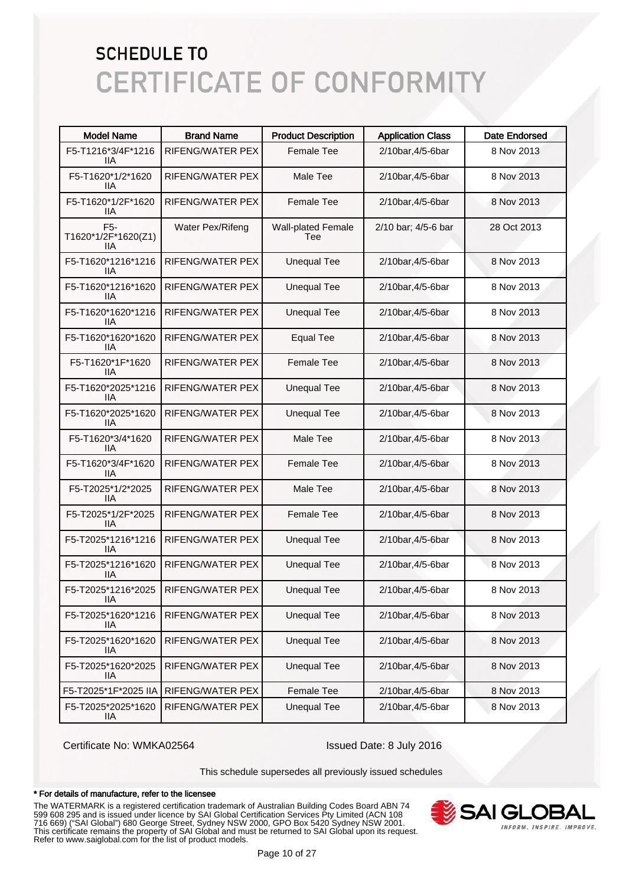| <b>Model Name</b>                              | <b>Brand Name</b>       | <b>Product Description</b>       | <b>Application Class</b> | Date Endorsed |
|------------------------------------------------|-------------------------|----------------------------------|--------------------------|---------------|
| F5-T1216*3/4F*1216<br>IIА                      | RIFENG/WATER PEX        | <b>Female Tee</b>                | 2/10bar, 4/5-6bar        | 8 Nov 2013    |
| F5-T1620*1/2*1620<br>IIА                       | RIFENG/WATER PEX        | Male Tee                         | 2/10bar, 4/5-6bar        | 8 Nov 2013    |
| F5-T1620*1/2F*1620<br>llА                      | RIFENG/WATER PEX        | <b>Female Tee</b>                | 2/10bar, 4/5-6bar        | 8 Nov 2013    |
| F <sub>5</sub> -<br>T1620*1/2F*1620(Z1)<br>IIА | Water Pex/Rifeng        | <b>Wall-plated Female</b><br>Tee | 2/10 bar; 4/5-6 bar      | 28 Oct 2013   |
| F5-T1620*1216*1216<br>liа                      | RIFENG/WATER PEX        | <b>Unequal Tee</b>               | 2/10bar, 4/5-6bar        | 8 Nov 2013    |
| F5-T1620*1216*1620<br>liа                      | RIFENG/WATER PEX        | <b>Unequal Tee</b>               | 2/10bar, 4/5-6bar        | 8 Nov 2013    |
| F5-T1620*1620*1216<br>liа                      | RIFENG/WATER PEX        | <b>Unequal Tee</b>               | 2/10bar, 4/5-6bar        | 8 Nov 2013    |
| F5-T1620*1620*1620<br>liа                      | RIFENG/WATER PEX        | <b>Equal Tee</b>                 | 2/10bar, 4/5-6bar        | 8 Nov 2013    |
| F5-T1620*1F*1620<br>llА                        | <b>RIFENG/WATER PEX</b> | <b>Female Tee</b>                | 2/10bar, 4/5-6bar        | 8 Nov 2013    |
| F5-T1620*2025*1216<br>liа                      | RIFENG/WATER PEX        | <b>Unequal Tee</b>               | 2/10bar, 4/5-6bar        | 8 Nov 2013    |
| F5-T1620*2025*1620<br>liа                      | <b>RIFENG/WATER PEX</b> | <b>Unequal Tee</b>               | 2/10bar, 4/5-6bar        | 8 Nov 2013    |
| F5-T1620*3/4*1620<br>lia                       | RIFENG/WATER PEX        | Male Tee                         | 2/10bar, 4/5-6bar        | 8 Nov 2013    |
| F5-T1620*3/4F*1620<br>IIА                      | RIFENG/WATER PEX        | <b>Female Tee</b>                | 2/10bar, 4/5-6bar        | 8 Nov 2013    |
| F5-T2025*1/2*2025<br>IIА                       | RIFENG/WATER PEX        | Male Tee                         | 2/10bar, 4/5-6bar        | 8 Nov 2013    |
| F5-T2025*1/2F*2025<br>IIА                      | RIFENG/WATER PEX        | <b>Female Tee</b>                | 2/10bar, 4/5-6bar        | 8 Nov 2013    |
| F5-T2025*1216*1216<br>IIA                      | RIFENG/WATER PEX        | <b>Unequal Tee</b>               | 2/10bar, 4/5-6bar        | 8 Nov 2013    |
| F5-T2025*1216*1620<br>IIА                      | RIFENG/WATER PEX        | <b>Unequal Tee</b>               | 2/10bar, 4/5-6bar        | 8 Nov 2013    |
| F5-T2025*1216*2025<br>IIA.                     | RIFENG/WATER PEX        | <b>Unequal Tee</b>               | 2/10bar, 4/5-6bar        | 8 Nov 2013    |
| F5-T2025*1620*1216<br>IIA                      | RIFENG/WATER PEX        | <b>Unequal Tee</b>               | 2/10bar, 4/5-6bar        | 8 Nov 2013    |
| F5-T2025*1620*1620<br>IIA                      | RIFENG/WATER PEX        | <b>Unequal Tee</b>               | 2/10bar, 4/5-6bar        | 8 Nov 2013    |
| F5-T2025*1620*2025<br>IIA                      | RIFENG/WATER PEX        | <b>Unequal Tee</b>               | 2/10bar, 4/5-6bar        | 8 Nov 2013    |
| F5-T2025*1F*2025 IIA                           | RIFENG/WATER PEX        | <b>Female Tee</b>                | 2/10bar, 4/5-6bar        | 8 Nov 2013    |
| F5-T2025*2025*1620<br>IIA                      | RIFENG/WATER PEX        | <b>Unequal Tee</b>               | 2/10bar, 4/5-6bar        | 8 Nov 2013    |

Certificate No: WMKA02564 Issued Date: 8 July 2016

This schedule supersedes all previously issued schedules

#### \* For details of manufacture, refer to the licensee

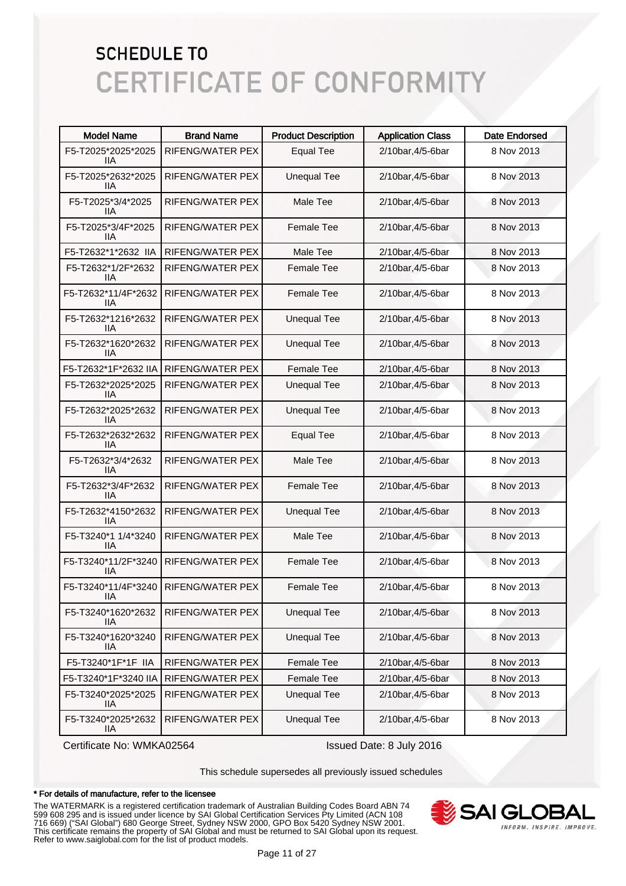| <b>Model Name</b>          | <b>Brand Name</b> | <b>Product Description</b> | <b>Application Class</b> | <b>Date Endorsed</b> |
|----------------------------|-------------------|----------------------------|--------------------------|----------------------|
| F5-T2025*2025*2025<br>IIА  | RIFENG/WATER PEX  | <b>Equal Tee</b>           | 2/10bar, 4/5-6bar        | 8 Nov 2013           |
| F5-T2025*2632*2025<br>IIА  | RIFENG/WATER PEX  | <b>Unequal Tee</b>         | 2/10bar, 4/5-6bar        | 8 Nov 2013           |
| F5-T2025*3/4*2025<br>IIА   | RIFENG/WATER PEX  | Male Tee                   | 2/10bar, 4/5-6bar        | 8 Nov 2013           |
| F5-T2025*3/4F*2025<br>ШA   | RIFENG/WATER PEX  | <b>Female Tee</b>          | 2/10bar, 4/5-6bar        | 8 Nov 2013           |
| F5-T2632*1*2632 IIA        | RIFENG/WATER PEX  | Male Tee                   | 2/10bar, 4/5-6bar        | 8 Nov 2013           |
| F5-T2632*1/2F*2632<br>llА  | RIFENG/WATER PEX  | <b>Female Tee</b>          | 2/10bar, 4/5-6bar        | 8 Nov 2013           |
| F5-T2632*11/4F*2632<br>llА | RIFENG/WATER PEX  | <b>Female Tee</b>          | 2/10bar, 4/5-6bar        | 8 Nov 2013           |
| F5-T2632*1216*2632<br>llА  | RIFENG/WATER PEX  | <b>Unequal Tee</b>         | 2/10bar, 4/5-6bar        | 8 Nov 2013           |
| F5-T2632*1620*2632<br>llА  | RIFENG/WATER PEX  | <b>Unequal Tee</b>         | 2/10bar, 4/5-6bar        | 8 Nov 2013           |
| F5-T2632*1F*2632 IIA       | RIFENG/WATER PEX  | Female Tee                 | 2/10bar, 4/5-6bar        | 8 Nov 2013           |
| F5-T2632*2025*2025<br>IIА  | RIFENG/WATER PEX  | <b>Unequal Tee</b>         | 2/10bar, 4/5-6bar        | 8 Nov 2013           |
| F5-T2632*2025*2632<br>IIА  | RIFENG/WATER PEX  | <b>Unequal Tee</b>         | 2/10bar, 4/5-6bar        | 8 Nov 2013           |
| F5-T2632*2632*2632<br>IIА  | RIFENG/WATER PEX  | <b>Equal Tee</b>           | 2/10bar, 4/5-6bar        | 8 Nov 2013           |
| F5-T2632*3/4*2632<br>llА   | RIFENG/WATER PEX  | Male Tee                   | 2/10bar, 4/5-6bar        | 8 Nov 2013           |
| F5-T2632*3/4F*2632<br>IIА  | RIFENG/WATER PEX  | Female Tee                 | 2/10bar, 4/5-6bar        | 8 Nov 2013           |
| F5-T2632*4150*2632<br>IIА  | RIFENG/WATER PEX  | <b>Unequal Tee</b>         | 2/10bar, 4/5-6bar        | 8 Nov 2013           |
| F5-T3240*1 1/4*3240<br>IIА | RIFENG/WATER PEX  | Male Tee                   | 2/10bar, 4/5-6bar        | 8 Nov 2013           |
| F5-T3240*11/2F*3240<br>IIА | RIFENG/WATER PEX  | Female Tee                 | 2/10bar, 4/5-6bar        | 8 Nov 2013           |
| F5-T3240*11/4F*3240<br>IIA | RIFENG/WATER PEX  | Female Tee                 | 2/10bar, 4/5-6bar        | 8 Nov 2013           |
| F5-T3240*1620*2632<br>IIА  | RIFENG/WATER PEX  | <b>Unequal Tee</b>         | 2/10bar, 4/5-6bar        | 8 Nov 2013           |
| F5-T3240*1620*3240<br>IIА  | RIFENG/WATER PEX  | <b>Unequal Tee</b>         | 2/10bar, 4/5-6bar        | 8 Nov 2013           |
| F5-T3240*1F*1F IIA         | RIFENG/WATER PEX  | Female Tee                 | 2/10bar, 4/5-6bar        | 8 Nov 2013           |
| F5-T3240*1F*3240 IIA       | RIFENG/WATER PEX  | Female Tee                 | 2/10bar, 4/5-6bar        | 8 Nov 2013           |
| F5-T3240*2025*2025<br>IIА  | RIFENG/WATER PEX  | <b>Unequal Tee</b>         | 2/10bar, 4/5-6bar        | 8 Nov 2013           |
| F5-T3240*2025*2632<br>IIА  | RIFENG/WATER PEX  | <b>Unequal Tee</b>         | 2/10bar, 4/5-6bar        | 8 Nov 2013           |

Certificate No: WMKA02564 Issued Date: 8 July 2016

This schedule supersedes all previously issued schedules

#### \* For details of manufacture, refer to the licensee

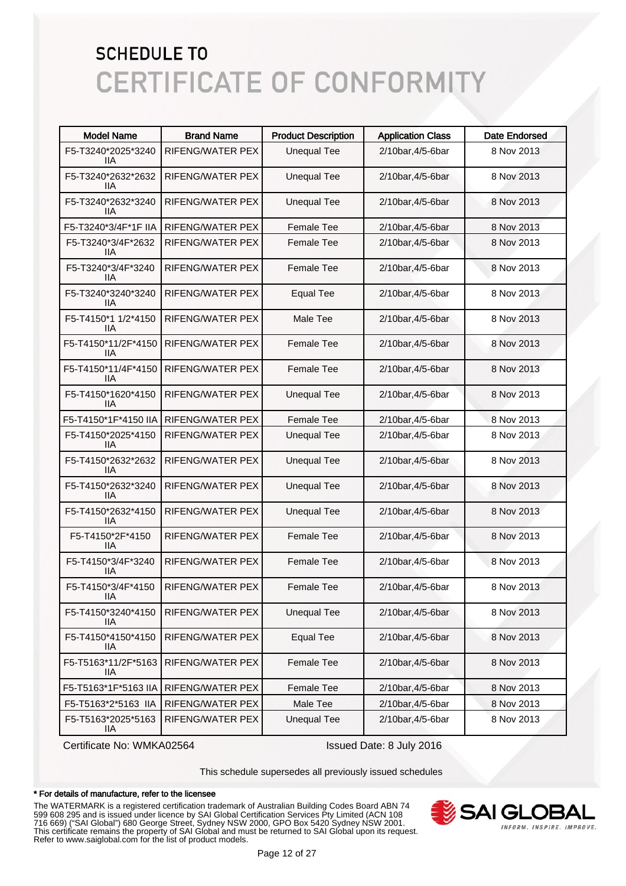| <b>Model Name</b>          | <b>Brand Name</b>       | <b>Product Description</b> | <b>Application Class</b> | <b>Date Endorsed</b> |
|----------------------------|-------------------------|----------------------------|--------------------------|----------------------|
| F5-T3240*2025*3240<br>IIА  | RIFENG/WATER PEX        | <b>Unequal Tee</b>         | 2/10bar, 4/5-6bar        | 8 Nov 2013           |
| F5-T3240*2632*2632<br>IIА  | RIFENG/WATER PEX        | <b>Unequal Tee</b>         | 2/10bar, 4/5-6bar        | 8 Nov 2013           |
| F5-T3240*2632*3240<br>IIА  | <b>RIFENG/WATER PEX</b> | <b>Unequal Tee</b>         | 2/10bar, 4/5-6bar        | 8 Nov 2013           |
| F5-T3240*3/4F*1F IIA       | RIFENG/WATER PEX        | <b>Female Tee</b>          | 2/10bar, 4/5-6bar        | 8 Nov 2013           |
| F5-T3240*3/4F*2632<br>llА  | RIFENG/WATER PEX        | <b>Female Tee</b>          | 2/10bar, 4/5-6bar        | 8 Nov 2013           |
| F5-T3240*3/4F*3240<br>llА  | RIFENG/WATER PEX        | Female Tee                 | 2/10bar, 4/5-6bar        | 8 Nov 2013           |
| F5-T3240*3240*3240<br>llА  | RIFENG/WATER PEX        | <b>Equal Tee</b>           | 2/10bar, 4/5-6bar        | 8 Nov 2013           |
| F5-T4150*1 1/2*4150<br>llА | RIFENG/WATER PEX        | Male Tee                   | 2/10bar, 4/5-6bar        | 8 Nov 2013           |
| F5-T4150*11/2F*4150<br>llА | RIFENG/WATER PEX        | <b>Female Tee</b>          | 2/10bar, 4/5-6bar        | 8 Nov 2013           |
| F5-T4150*11/4F*4150<br>IIА | RIFENG/WATER PEX        | <b>Female Tee</b>          | 2/10bar, 4/5-6bar        | 8 Nov 2013           |
| F5-T4150*1620*4150<br>llА  | RIFENG/WATER PEX        | <b>Unequal Tee</b>         | 2/10bar, 4/5-6bar        | 8 Nov 2013           |
| F5-T4150*1F*4150 IIA       | RIFENG/WATER PEX        | <b>Female Tee</b>          | 2/10bar, 4/5-6bar        | 8 Nov 2013           |
| F5-T4150*2025*4150<br>IIА  | RIFENG/WATER PEX        | <b>Unequal Tee</b>         | 2/10bar, 4/5-6bar        | 8 Nov 2013           |
| F5-T4150*2632*2632<br>IIА  | RIFENG/WATER PEX        | <b>Unequal Tee</b>         | 2/10bar, 4/5-6bar        | 8 Nov 2013           |
| F5-T4150*2632*3240<br>IIА  | RIFENG/WATER PEX        | <b>Unequal Tee</b>         | 2/10bar, 4/5-6bar        | 8 Nov 2013           |
| F5-T4150*2632*4150<br>IIА  | RIFENG/WATER PEX        | <b>Unequal Tee</b>         | 2/10bar, 4/5-6bar        | 8 Nov 2013           |
| F5-T4150*2F*4150<br>llА    | RIFENG/WATER PEX        | Female Tee                 | 2/10bar, 4/5-6bar        | 8 Nov 2013           |
| F5-T4150*3/4F*3240<br>IIА  | RIFENG/WATER PEX        | Female Tee                 | 2/10bar, 4/5-6bar        | 8 Nov 2013           |
| F5-T4150*3/4F*4150<br>lia. | RIFENG/WATER PEX        | Female Tee                 | 2/10bar, 4/5-6bar        | 8 Nov 2013           |
| F5-T4150*3240*4150<br>IIА  | RIFENG/WATER PEX        | <b>Unequal Tee</b>         | 2/10bar, 4/5-6bar        | 8 Nov 2013           |
| F5-T4150*4150*4150<br>IIА  | RIFENG/WATER PEX        | <b>Equal Tee</b>           | 2/10bar, 4/5-6bar        | 8 Nov 2013           |
| F5-T5163*11/2F*5163<br>IIА | RIFENG/WATER PEX        | Female Tee                 | 2/10bar, 4/5-6bar        | 8 Nov 2013           |
| F5-T5163*1F*5163 IIA       | RIFENG/WATER PEX        | Female Tee                 | 2/10bar, 4/5-6bar        | 8 Nov 2013           |
| F5-T5163*2*5163 IIA        | RIFENG/WATER PEX        | Male Tee                   | 2/10bar, 4/5-6bar        | 8 Nov 2013           |
| F5-T5163*2025*5163<br>IIА  | RIFENG/WATER PEX        | <b>Unequal Tee</b>         | 2/10bar, 4/5-6bar        | 8 Nov 2013           |

Certificate No: WMKA02564 Issued Date: 8 July 2016

This schedule supersedes all previously issued schedules

#### \* For details of manufacture, refer to the licensee

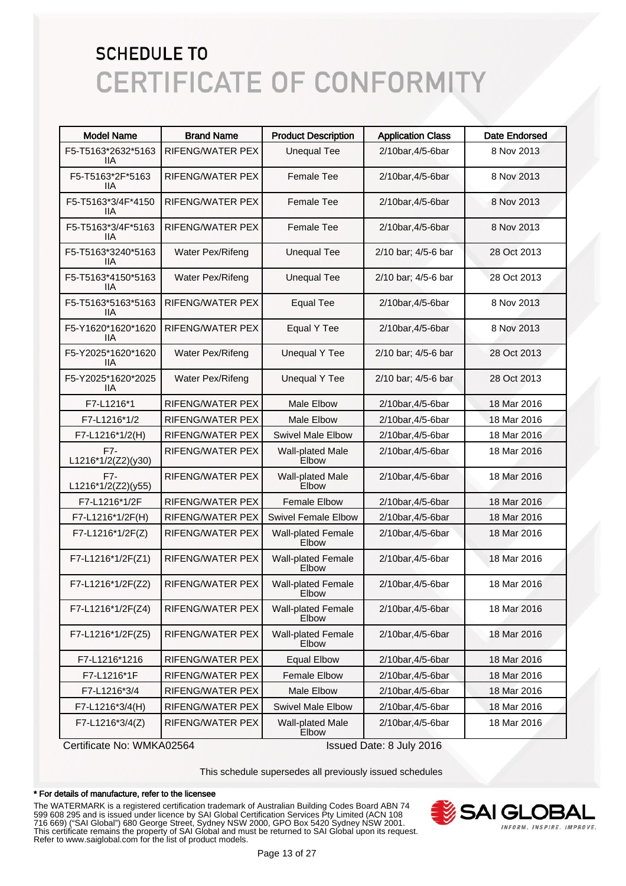| <b>Model Name</b>           | <b>Brand Name</b>       | <b>Product Description</b>         | <b>Application Class</b> | <b>Date Endorsed</b> |
|-----------------------------|-------------------------|------------------------------------|--------------------------|----------------------|
| F5-T5163*2632*5163<br>IIА   | RIFENG/WATER PEX        | <b>Unequal Tee</b>                 | 2/10bar, 4/5-6bar        | 8 Nov 2013           |
| F5-T5163*2F*5163<br>IIА     | RIFENG/WATER PEX        | <b>Female Tee</b>                  | 2/10bar, 4/5-6bar        | 8 Nov 2013           |
| F5-T5163*3/4F*4150<br>IIА   | RIFENG/WATER PEX        | <b>Female Tee</b>                  | 2/10bar, 4/5-6bar        | 8 Nov 2013           |
| F5-T5163*3/4F*5163<br>llА   | RIFENG/WATER PEX        | <b>Female Tee</b>                  | 2/10bar, 4/5-6bar        | 8 Nov 2013           |
| F5-T5163*3240*5163<br>llА   | Water Pex/Rifeng        | <b>Unequal Tee</b>                 | 2/10 bar; 4/5-6 bar      | 28 Oct 2013          |
| F5-T5163*4150*5163<br>llА   | Water Pex/Rifeng        | <b>Unequal Tee</b>                 | 2/10 bar; 4/5-6 bar      | 28 Oct 2013          |
| F5-T5163*5163*5163<br>llА   | RIFENG/WATER PEX        | <b>Equal Tee</b>                   | 2/10bar, 4/5-6bar        | 8 Nov 2013           |
| F5-Y1620*1620*1620<br>llА   | <b>RIFENG/WATER PEX</b> | Equal Y Tee                        | 2/10bar, 4/5-6bar        | 8 Nov 2013           |
| F5-Y2025*1620*1620<br>llА   | Water Pex/Rifeng        | <b>Unequal Y Tee</b>               | 2/10 bar; 4/5-6 bar      | 28 Oct 2013          |
| F5-Y2025*1620*2025<br>llА   | Water Pex/Rifeng        | <b>Unequal Y Tee</b>               | 2/10 bar; 4/5-6 bar      | 28 Oct 2013          |
| F7-L1216*1                  | RIFENG/WATER PEX        | <b>Male Elbow</b>                  | 2/10bar, 4/5-6bar        | 18 Mar 2016          |
| F7-L1216*1/2                | RIFENG/WATER PEX        | <b>Male Elbow</b>                  | 2/10bar, 4/5-6bar        | 18 Mar 2016          |
| F7-L1216*1/2(H)             | RIFENG/WATER PEX        | <b>Swivel Male Elbow</b>           | 2/10bar, 4/5-6bar        | 18 Mar 2016          |
| $F7-$<br>L1216*1/2(Z2)(y30) | RIFENG/WATER PEX        | Wall-plated Male<br>Elbow          | 2/10bar, 4/5-6bar        | 18 Mar 2016          |
| F7-<br>L1216*1/2(Z2)(y55)   | RIFENG/WATER PEX        | Wall-plated Male<br>Elbow          | 2/10bar, 4/5-6bar        | 18 Mar 2016          |
| F7-L1216*1/2F               | RIFENG/WATER PEX        | <b>Female Elbow</b>                | 2/10bar, 4/5-6bar        | 18 Mar 2016          |
| F7-L1216*1/2F(H)            | RIFENG/WATER PEX        | <b>Swivel Female Elbow</b>         | 2/10bar, 4/5-6bar        | 18 Mar 2016          |
| F7-L1216*1/2F(Z)            | RIFENG/WATER PEX        | <b>Wall-plated Female</b><br>Elbow | 2/10bar, 4/5-6bar        | 18 Mar 2016          |
| F7-L1216*1/2F(Z1)           | RIFENG/WATER PEX        | <b>Wall-plated Female</b><br>Elbow | 2/10bar, 4/5-6bar        | 18 Mar 2016          |
| F7-L1216*1/2F(Z2)           | RIFENG/WATER PEX        | Wall-plated Female<br>Elbow        | 2/10bar, 4/5-6bar        | 18 Mar 2016          |
| F7-L1216*1/2F(Z4)           | RIFENG/WATER PEX        | <b>Wall-plated Female</b><br>Elbow | 2/10bar, 4/5-6bar        | 18 Mar 2016          |
| F7-L1216*1/2F(Z5)           | RIFENG/WATER PEX        | <b>Wall-plated Female</b><br>Elbow | 2/10bar, 4/5-6bar        | 18 Mar 2016          |
| F7-L1216*1216               | RIFENG/WATER PEX        | <b>Equal Elbow</b>                 | 2/10bar, 4/5-6bar        | 18 Mar 2016          |
| F7-L1216*1F                 | RIFENG/WATER PEX        | <b>Female Elbow</b>                | 2/10bar, 4/5-6bar        | 18 Mar 2016          |
| F7-L1216*3/4                | RIFENG/WATER PEX        | Male Elbow                         | 2/10bar, 4/5-6bar        | 18 Mar 2016          |
| F7-L1216*3/4(H)             | RIFENG/WATER PEX        | <b>Swivel Male Elbow</b>           | 2/10bar, 4/5-6bar        | 18 Mar 2016          |
| F7-L1216*3/4(Z)             | RIFENG/WATER PEX        | Wall-plated Male<br>Elbow          | 2/10bar, 4/5-6bar        | 18 Mar 2016          |

Certificate No: WMKA02564 Issued Date: 8 July 2016

This schedule supersedes all previously issued schedules

#### \* For details of manufacture, refer to the licensee

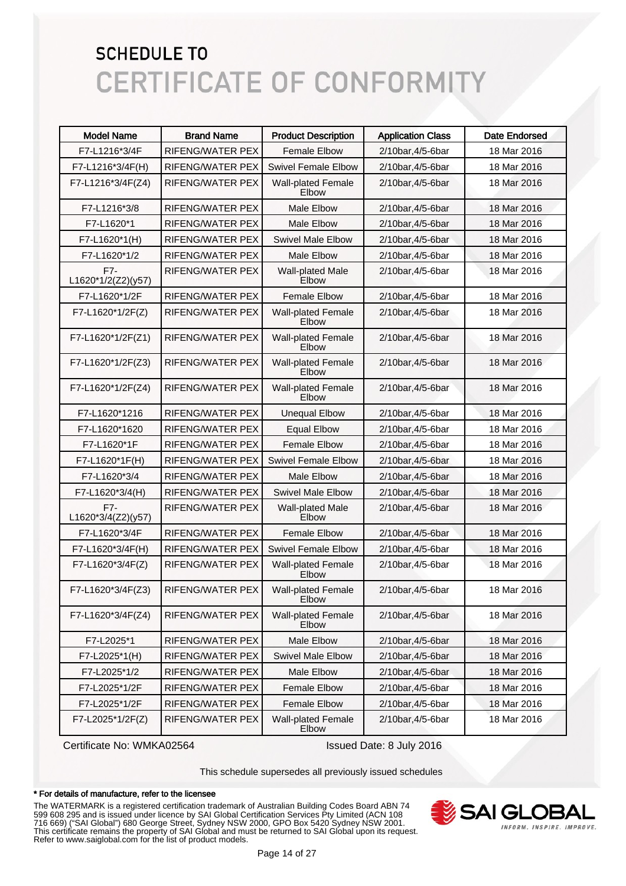| <b>Model Name</b>           | <b>Brand Name</b>       | <b>Product Description</b>                | <b>Application Class</b> | <b>Date Endorsed</b> |
|-----------------------------|-------------------------|-------------------------------------------|--------------------------|----------------------|
| F7-L1216*3/4F               | RIFENG/WATER PEX        | <b>Female Elbow</b>                       | 2/10bar, 4/5-6bar        | 18 Mar 2016          |
| F7-L1216*3/4F(H)            | RIFENG/WATER PEX        | <b>Swivel Female Elbow</b>                | 2/10bar, 4/5-6bar        | 18 Mar 2016          |
| F7-L1216*3/4F(Z4)           | <b>RIFENG/WATER PEX</b> | <b>Wall-plated Female</b><br>Elbow        | 2/10bar, 4/5-6bar        | 18 Mar 2016          |
| F7-L1216*3/8                | <b>RIFENG/WATER PEX</b> | <b>Male Elbow</b>                         | 2/10bar, 4/5-6bar        | 18 Mar 2016          |
| F7-L1620*1                  | <b>RIFENG/WATER PEX</b> | <b>Male Elbow</b>                         | 2/10bar, 4/5-6bar        | 18 Mar 2016          |
| F7-L1620*1(H)               | RIFENG/WATER PEX        | <b>Swivel Male Elbow</b>                  | 2/10bar, 4/5-6bar        | 18 Mar 2016          |
| F7-L1620*1/2                | RIFENG/WATER PEX        | <b>Male Elbow</b>                         | 2/10bar, 4/5-6bar        | 18 Mar 2016          |
| F7-<br>L1620*1/2(Z2)(y57)   | <b>RIFENG/WATER PEX</b> | Wall-plated Male<br>Elbow                 | 2/10bar, 4/5-6bar        | 18 Mar 2016          |
| F7-L1620*1/2F               | <b>RIFENG/WATER PEX</b> | <b>Female Elbow</b>                       | 2/10bar, 4/5-6bar        | 18 Mar 2016          |
| F7-L1620*1/2F(Z)            | <b>RIFENG/WATER PEX</b> | <b>Wall-plated Female</b><br>Elbow        | 2/10bar, 4/5-6bar        | 18 Mar 2016          |
| F7-L1620*1/2F(Z1)           | RIFENG/WATER PEX        | <b>Wall-plated Female</b><br>Elbow        | 2/10bar, 4/5-6bar        | 18 Mar 2016          |
| F7-L1620*1/2F(Z3)           | <b>RIFENG/WATER PEX</b> | <b>Wall-plated Female</b><br>Elbow        | 2/10bar, 4/5-6bar        | 18 Mar 2016          |
| F7-L1620*1/2F(Z4)           | <b>RIFENG/WATER PEX</b> | <b>Wall-plated Female</b><br>Elbow        | 2/10bar, 4/5-6bar        | 18 Mar 2016          |
| F7-L1620*1216               | <b>RIFENG/WATER PEX</b> | <b>Unequal Elbow</b>                      | 2/10bar, 4/5-6bar        | 18 Mar 2016          |
| F7-L1620*1620               | RIFENG/WATER PEX        | <b>Equal Elbow</b>                        | 2/10bar, 4/5-6bar        | 18 Mar 2016          |
| F7-L1620*1F                 | <b>RIFENG/WATER PEX</b> | <b>Female Elbow</b>                       | 2/10bar, 4/5-6bar        | 18 Mar 2016          |
| F7-L1620*1F(H)              | RIFENG/WATER PEX        | <b>Swivel Female Elbow</b>                | 2/10bar, 4/5-6bar        | 18 Mar 2016          |
| F7-L1620*3/4                | <b>RIFENG/WATER PEX</b> | <b>Male Elbow</b>                         | 2/10bar, 4/5-6bar        | 18 Mar 2016          |
| F7-L1620*3/4(H)             | RIFENG/WATER PEX        | <b>Swivel Male Elbow</b>                  | 2/10bar, 4/5-6bar        | 18 Mar 2016          |
| $F7-$<br>L1620*3/4(Z2)(y57) | <b>RIFENG/WATER PEX</b> | Wall-plated Male<br>Elbow                 | 2/10bar, 4/5-6bar        | 18 Mar 2016          |
| F7-L1620*3/4F               | RIFENG/WATER PEX        | <b>Female Elbow</b>                       | 2/10bar, 4/5-6bar        | 18 Mar 2016          |
| F7-L1620*3/4F(H)            | RIFENG/WATER PEX        | <b>Swivel Female Elbow</b>                | 2/10bar, 4/5-6bar        | 18 Mar 2016          |
| F7-L1620*3/4F(Z)            | <b>RIFENG/WATER PEX</b> | <b>Wall-plated Female</b><br><b>Elbow</b> | 2/10bar, 4/5-6bar        | 18 Mar 2016          |
| F7-L1620*3/4F(Z3)           | RIFENG/WATER PEX        | <b>Wall-plated Female</b><br>Elbow        | 2/10bar, 4/5-6bar        | 18 Mar 2016          |
| F7-L1620*3/4F(Z4)           | RIFENG/WATER PEX        | <b>Wall-plated Female</b><br>Elbow        | 2/10bar, 4/5-6bar        | 18 Mar 2016          |
| F7-L2025*1                  | RIFENG/WATER PEX        | Male Elbow                                | 2/10bar, 4/5-6bar        | 18 Mar 2016          |
| F7-L2025*1(H)               | RIFENG/WATER PEX        | Swivel Male Elbow                         | 2/10bar, 4/5-6bar        | 18 Mar 2016          |
| F7-L2025*1/2                | RIFENG/WATER PEX        | Male Elbow                                | 2/10bar, 4/5-6bar        | 18 Mar 2016          |
| F7-L2025*1/2F               | RIFENG/WATER PEX        | Female Elbow                              | 2/10bar, 4/5-6bar        | 18 Mar 2016          |
| F7-L2025*1/2F               | RIFENG/WATER PEX        | <b>Female Elbow</b>                       | 2/10bar, 4/5-6bar        | 18 Mar 2016          |
| F7-L2025*1/2F(Z)            | RIFENG/WATER PEX        | <b>Wall-plated Female</b><br>Elbow        | 2/10bar, 4/5-6bar        | 18 Mar 2016          |

Certificate No: WMKA02564 Issued Date: 8 July 2016

This schedule supersedes all previously issued schedules

#### \* For details of manufacture, refer to the licensee

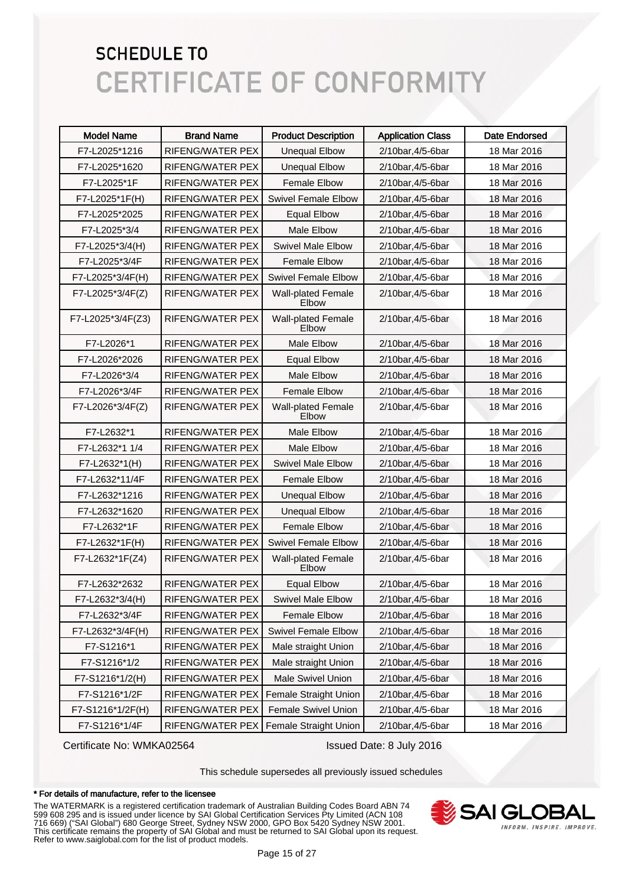| <b>Model Name</b> | <b>Brand Name</b> | <b>Product Description</b>         | <b>Application Class</b> | <b>Date Endorsed</b> |
|-------------------|-------------------|------------------------------------|--------------------------|----------------------|
| F7-L2025*1216     | RIFENG/WATER PEX  | <b>Unequal Elbow</b>               | 2/10bar, 4/5-6bar        | 18 Mar 2016          |
| F7-L2025*1620     | RIFENG/WATER PEX  | <b>Unequal Elbow</b>               | 2/10bar, 4/5-6bar        | 18 Mar 2016          |
| F7-L2025*1F       | RIFENG/WATER PEX  | <b>Female Elbow</b>                | 2/10bar, 4/5-6bar        | 18 Mar 2016          |
| F7-L2025*1F(H)    | RIFENG/WATER PEX  | <b>Swivel Female Elbow</b>         | 2/10bar, 4/5-6bar        | 18 Mar 2016          |
| F7-L2025*2025     | RIFENG/WATER PEX  | <b>Equal Elbow</b>                 | 2/10bar, 4/5-6bar        | 18 Mar 2016          |
| F7-L2025*3/4      | RIFENG/WATER PEX  | <b>Male Elbow</b>                  | 2/10bar, 4/5-6bar        | 18 Mar 2016          |
| F7-L2025*3/4(H)   | RIFENG/WATER PEX  | <b>Swivel Male Elbow</b>           | 2/10bar, 4/5-6bar        | 18 Mar 2016          |
| F7-L2025*3/4F     | RIFENG/WATER PEX  | <b>Female Elbow</b>                | 2/10bar, 4/5-6bar        | 18 Mar 2016          |
| F7-L2025*3/4F(H)  | RIFENG/WATER PEX  | <b>Swivel Female Elbow</b>         | 2/10bar, 4/5-6bar        | 18 Mar 2016          |
| F7-L2025*3/4F(Z)  | RIFENG/WATER PEX  | Wall-plated Female<br>Elbow        | 2/10bar, 4/5-6bar        | 18 Mar 2016          |
| F7-L2025*3/4F(Z3) | RIFENG/WATER PEX  | <b>Wall-plated Female</b><br>Elbow | 2/10bar, 4/5-6bar        | 18 Mar 2016          |
| F7-L2026*1        | RIFENG/WATER PEX  | Male Elbow                         | 2/10bar, 4/5-6bar        | 18 Mar 2016          |
| F7-L2026*2026     | RIFENG/WATER PEX  | <b>Equal Elbow</b>                 | 2/10bar, 4/5-6bar        | 18 Mar 2016          |
| F7-L2026*3/4      | RIFENG/WATER PEX  | Male Elbow                         | 2/10bar, 4/5-6bar        | 18 Mar 2016          |
| F7-L2026*3/4F     | RIFENG/WATER PEX  | <b>Female Elbow</b>                | 2/10bar, 4/5-6bar        | 18 Mar 2016          |
| F7-L2026*3/4F(Z)  | RIFENG/WATER PEX  | <b>Wall-plated Female</b><br>Elbow | 2/10bar, 4/5-6bar        | 18 Mar 2016          |
| F7-L2632*1        | RIFENG/WATER PEX  | <b>Male Elbow</b>                  | 2/10bar, 4/5-6bar        | 18 Mar 2016          |
| F7-L2632*1 1/4    | RIFENG/WATER PEX  | <b>Male Elbow</b>                  | 2/10bar, 4/5-6bar        | 18 Mar 2016          |
| F7-L2632*1(H)     | RIFENG/WATER PEX  | <b>Swivel Male Elbow</b>           | 2/10bar, 4/5-6bar        | 18 Mar 2016          |
| F7-L2632*11/4F    | RIFENG/WATER PEX  | <b>Female Elbow</b>                | 2/10bar, 4/5-6bar        | 18 Mar 2016          |
| F7-L2632*1216     | RIFENG/WATER PEX  | <b>Unequal Elbow</b>               | 2/10bar, 4/5-6bar        | 18 Mar 2016          |
| F7-L2632*1620     | RIFENG/WATER PEX  | <b>Unequal Elbow</b>               | 2/10bar, 4/5-6bar        | 18 Mar 2016          |
| F7-L2632*1F       | RIFENG/WATER PEX  | <b>Female Elbow</b>                | 2/10bar, 4/5-6bar        | 18 Mar 2016          |
| F7-L2632*1F(H)    | RIFENG/WATER PEX  | <b>Swivel Female Elbow</b>         | 2/10bar, 4/5-6bar        | 18 Mar 2016          |
| F7-L2632*1F(Z4)   | RIFENG/WATER PEX  | Wall-plated Female<br>Elbow        | 2/10bar, 4/5-6bar        | 18 Mar 2016          |
| F7-L2632*2632     | RIFENG/WATER PEX  | <b>Equal Elbow</b>                 | 2/10bar, 4/5-6bar        | 18 Mar 2016          |
| F7-L2632*3/4(H)   | RIFENG/WATER PEX  | <b>Swivel Male Elbow</b>           | 2/10bar,4/5-6bar         | 18 Mar 2016          |
| F7-L2632*3/4F     | RIFENG/WATER PEX  | <b>Female Elbow</b>                | 2/10bar, 4/5-6bar        | 18 Mar 2016          |
| F7-L2632*3/4F(H)  | RIFENG/WATER PEX  | <b>Swivel Female Elbow</b>         | 2/10bar, 4/5-6bar        | 18 Mar 2016          |
| F7-S1216*1        | RIFENG/WATER PEX  | Male straight Union                | 2/10bar, 4/5-6bar        | 18 Mar 2016          |
| F7-S1216*1/2      | RIFENG/WATER PEX  | Male straight Union                | 2/10bar, 4/5-6bar        | 18 Mar 2016          |
| F7-S1216*1/2(H)   | RIFENG/WATER PEX  | Male Swivel Union                  | 2/10bar, 4/5-6bar        | 18 Mar 2016          |
| F7-S1216*1/2F     | RIFENG/WATER PEX  | <b>Female Straight Union</b>       | 2/10bar, 4/5-6bar        | 18 Mar 2016          |
| F7-S1216*1/2F(H)  | RIFENG/WATER PEX  | Female Swivel Union                | 2/10bar, 4/5-6bar        | 18 Mar 2016          |
| F7-S1216*1/4F     | RIFENG/WATER PEX  | Female Straight Union              | 2/10bar, 4/5-6bar        | 18 Mar 2016          |

Certificate No: WMKA02564 Issued Date: 8 July 2016

This schedule supersedes all previously issued schedules

#### \* For details of manufacture, refer to the licensee

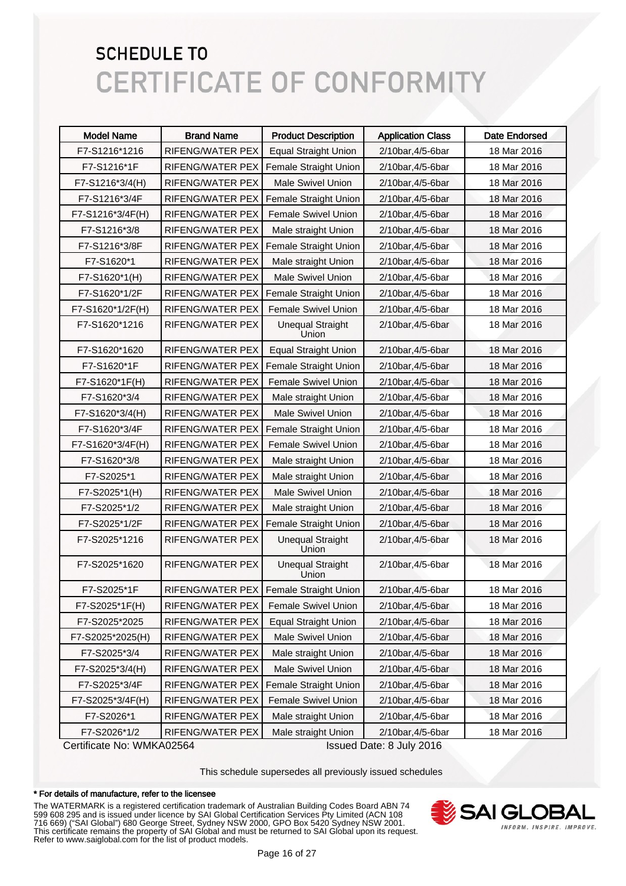| <b>Brand Name</b>       | <b>Product Description</b>       | <b>Application Class</b> | <b>Date Endorsed</b>     |
|-------------------------|----------------------------------|--------------------------|--------------------------|
| RIFENG/WATER PEX        | <b>Equal Straight Union</b>      | 2/10bar, 4/5-6bar        | 18 Mar 2016              |
| RIFENG/WATER PEX        | Female Straight Union            | 2/10bar, 4/5-6bar        | 18 Mar 2016              |
| RIFENG/WATER PEX        | <b>Male Swivel Union</b>         | 2/10bar, 4/5-6bar        | 18 Mar 2016              |
| RIFENG/WATER PEX        | Female Straight Union            | 2/10bar, 4/5-6bar        | 18 Mar 2016              |
| RIFENG/WATER PEX        | <b>Female Swivel Union</b>       | 2/10bar, 4/5-6bar        | 18 Mar 2016              |
| <b>RIFENG/WATER PEX</b> | Male straight Union              | 2/10bar, 4/5-6bar        | 18 Mar 2016              |
| RIFENG/WATER PEX        | Female Straight Union            | 2/10bar, 4/5-6bar        | 18 Mar 2016              |
| <b>RIFENG/WATER PEX</b> | Male straight Union              | 2/10bar, 4/5-6bar        | 18 Mar 2016              |
| <b>RIFENG/WATER PEX</b> | <b>Male Swivel Union</b>         | 2/10bar, 4/5-6bar        | 18 Mar 2016              |
| RIFENG/WATER PEX        | Female Straight Union            | 2/10bar, 4/5-6bar        | 18 Mar 2016              |
| <b>RIFENG/WATER PEX</b> | Female Swivel Union              | 2/10bar, 4/5-6bar        | 18 Mar 2016              |
| RIFENG/WATER PEX        | <b>Unequal Straight</b><br>Union | 2/10bar, 4/5-6bar        | 18 Mar 2016              |
| <b>RIFENG/WATER PEX</b> | <b>Equal Straight Union</b>      | 2/10bar, 4/5-6bar        | 18 Mar 2016              |
| RIFENG/WATER PEX        | Female Straight Union            | 2/10bar, 4/5-6bar        | 18 Mar 2016              |
| RIFENG/WATER PEX        | Female Swivel Union              | 2/10bar, 4/5-6bar        | 18 Mar 2016              |
| <b>RIFENG/WATER PEX</b> | Male straight Union              | 2/10bar, 4/5-6bar        | 18 Mar 2016              |
| RIFENG/WATER PEX        | <b>Male Swivel Union</b>         | 2/10bar, 4/5-6bar        | 18 Mar 2016              |
| RIFENG/WATER PEX        | Female Straight Union            | 2/10bar, 4/5-6bar        | 18 Mar 2016              |
| RIFENG/WATER PEX        | Female Swivel Union              | 2/10bar, 4/5-6bar        | 18 Mar 2016              |
| RIFENG/WATER PEX        | Male straight Union              | 2/10bar, 4/5-6bar        | 18 Mar 2016              |
| RIFENG/WATER PEX        | Male straight Union              | 2/10bar, 4/5-6bar        | 18 Mar 2016              |
| RIFENG/WATER PEX        | <b>Male Swivel Union</b>         | 2/10bar, 4/5-6bar        | 18 Mar 2016              |
| RIFENG/WATER PEX        | Male straight Union              | 2/10bar, 4/5-6bar        | 18 Mar 2016              |
| RIFENG/WATER PEX        | Female Straight Union            | 2/10bar, 4/5-6bar        | 18 Mar 2016              |
| RIFENG/WATER PEX        | <b>Unequal Straight</b><br>Union | 2/10bar, 4/5-6bar        | 18 Mar 2016              |
| <b>RIFENG/WATER PEX</b> | <b>Unequal Straight</b><br>Union | 2/10bar, 4/5-6bar        | 18 Mar 2016              |
|                         | Female Straight Union            | 2/10bar, 4/5-6bar        | 18 Mar 2016              |
| RIFENG/WATER PEX        | Female Swivel Union              | 2/10bar, 4/5-6bar        | 18 Mar 2016              |
| RIFENG/WATER PEX        | <b>Equal Straight Union</b>      | 2/10bar, 4/5-6bar        | 18 Mar 2016              |
| RIFENG/WATER PEX        | Male Swivel Union                | 2/10bar, 4/5-6bar        | 18 Mar 2016              |
| RIFENG/WATER PEX        | Male straight Union              | 2/10bar, 4/5-6bar        | 18 Mar 2016              |
| RIFENG/WATER PEX        | Male Swivel Union                | 2/10bar, 4/5-6bar        | 18 Mar 2016              |
| RIFENG/WATER PEX        | Female Straight Union            | 2/10bar, 4/5-6bar        | 18 Mar 2016              |
| RIFENG/WATER PEX        | Female Swivel Union              | 2/10bar, 4/5-6bar        | 18 Mar 2016              |
| RIFENG/WATER PEX        | Male straight Union              | 2/10bar, 4/5-6bar        | 18 Mar 2016              |
| RIFENG/WATER PEX        | Male straight Union              | 2/10bar, 4/5-6bar        | 18 Mar 2016              |
|                         | Cortificato No: WALLACOERA       | RIFENG/WATER PEX         | locupd Dota: 8 July 2016 |

Certificate No: WMKA02564 Issued Date: 8 July 2016

This schedule supersedes all previously issued schedules

#### \* For details of manufacture, refer to the licensee

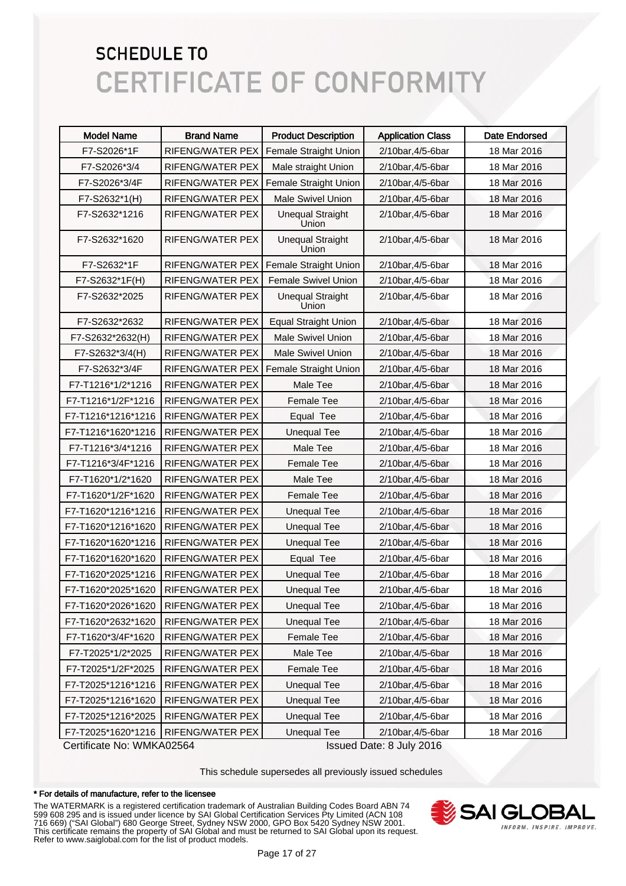| <b>Model Name</b>  | <b>Brand Name</b>       | <b>Product Description</b>       | <b>Application Class</b> | <b>Date Endorsed</b> |
|--------------------|-------------------------|----------------------------------|--------------------------|----------------------|
| F7-S2026*1F        | RIFENG/WATER PEX        | Female Straight Union            | 2/10bar, 4/5-6bar        | 18 Mar 2016          |
| F7-S2026*3/4       | RIFENG/WATER PEX        | Male straight Union              | 2/10bar, 4/5-6bar        | 18 Mar 2016          |
| F7-S2026*3/4F      | RIFENG/WATER PEX        | <b>Female Straight Union</b>     | 2/10bar, 4/5-6bar        | 18 Mar 2016          |
| F7-S2632*1(H)      | RIFENG/WATER PEX        | Male Swivel Union                | 2/10bar, 4/5-6bar        | 18 Mar 2016          |
| F7-S2632*1216      | <b>RIFENG/WATER PEX</b> | <b>Unequal Straight</b><br>Union | 2/10bar, 4/5-6bar        | 18 Mar 2016          |
| F7-S2632*1620      | <b>RIFENG/WATER PEX</b> | <b>Unequal Straight</b><br>Union | 2/10bar, 4/5-6bar        | 18 Mar 2016          |
| F7-S2632*1F        | <b>RIFENG/WATER PEX</b> | Female Straight Union            | 2/10bar, 4/5-6bar        | 18 Mar 2016          |
| F7-S2632*1F(H)     | <b>RIFENG/WATER PEX</b> | Female Swivel Union              | 2/10bar, 4/5-6bar        | 18 Mar 2016          |
| F7-S2632*2025      | RIFENG/WATER PEX        | <b>Unequal Straight</b><br>Union | 2/10bar, 4/5-6bar        | 18 Mar 2016          |
| F7-S2632*2632      | RIFENG/WATER PEX        | <b>Equal Straight Union</b>      | 2/10bar, 4/5-6bar        | 18 Mar 2016          |
| F7-S2632*2632(H)   | RIFENG/WATER PEX        | <b>Male Swivel Union</b>         | 2/10bar, 4/5-6bar        | 18 Mar 2016          |
| F7-S2632*3/4(H)    | RIFENG/WATER PEX        | <b>Male Swivel Union</b>         | 2/10bar, 4/5-6bar        | 18 Mar 2016          |
| F7-S2632*3/4F      | RIFENG/WATER PEX        | Female Straight Union            | 2/10bar, 4/5-6bar        | 18 Mar 2016          |
| F7-T1216*1/2*1216  | RIFENG/WATER PEX        | Male Tee                         | 2/10bar, 4/5-6bar        | 18 Mar 2016          |
| F7-T1216*1/2F*1216 | RIFENG/WATER PEX        | Female Tee                       | 2/10bar, 4/5-6bar        | 18 Mar 2016          |
| F7-T1216*1216*1216 | RIFENG/WATER PEX        | Equal Tee                        | 2/10bar, 4/5-6bar        | 18 Mar 2016          |
| F7-T1216*1620*1216 | RIFENG/WATER PEX        | <b>Unequal Tee</b>               | 2/10bar, 4/5-6bar        | 18 Mar 2016          |
| F7-T1216*3/4*1216  | <b>RIFENG/WATER PEX</b> | Male Tee                         | 2/10bar, 4/5-6bar        | 18 Mar 2016          |
| F7-T1216*3/4F*1216 | RIFENG/WATER PEX        | Female Tee                       | 2/10bar, 4/5-6bar        | 18 Mar 2016          |
| F7-T1620*1/2*1620  | RIFENG/WATER PEX        | Male Tee                         | 2/10bar, 4/5-6bar        | 18 Mar 2016          |
| F7-T1620*1/2F*1620 | RIFENG/WATER PEX        | Female Tee                       | 2/10bar, 4/5-6bar        | 18 Mar 2016          |
| F7-T1620*1216*1216 | RIFENG/WATER PEX        | <b>Unequal Tee</b>               | 2/10bar, 4/5-6bar        | 18 Mar 2016          |
| F7-T1620*1216*1620 | RIFENG/WATER PEX        | <b>Unequal Tee</b>               | 2/10bar, 4/5-6bar        | 18 Mar 2016          |
| F7-T1620*1620*1216 | RIFENG/WATER PEX        | <b>Unequal Tee</b>               | 2/10bar, 4/5-6bar        | 18 Mar 2016          |
| F7-T1620*1620*1620 | RIFENG/WATER PEX        | Equal Tee                        | 2/10bar, 4/5-6bar        | 18 Mar 2016          |
| F7-T1620*2025*1216 | <b>RIFENG/WATER PEX</b> | <b>Unequal Tee</b>               | 2/10bar, 4/5-6bar        | 18 Mar 2016          |
| F7-T1620*2025*1620 | RIFENG/WATER PEX        | <b>Unequal Tee</b>               | 2/10bar, 4/5-6bar        | 18 Mar 2016          |
| F7-T1620*2026*1620 | RIFENG/WATER PEX        | <b>Unequal Tee</b>               | 2/10bar, 4/5-6bar        | 18 Mar 2016          |
| F7-T1620*2632*1620 | RIFENG/WATER PEX        | <b>Unequal Tee</b>               | 2/10bar, 4/5-6bar        | 18 Mar 2016          |
| F7-T1620*3/4F*1620 | RIFENG/WATER PEX        | Female Tee                       | 2/10bar, 4/5-6bar        | 18 Mar 2016          |
| F7-T2025*1/2*2025  | RIFENG/WATER PEX        | Male Tee                         | 2/10bar, 4/5-6bar        | 18 Mar 2016          |
| F7-T2025*1/2F*2025 | RIFENG/WATER PEX        | Female Tee                       | 2/10bar, 4/5-6bar        | 18 Mar 2016          |
| F7-T2025*1216*1216 | RIFENG/WATER PEX        | <b>Unequal Tee</b>               | 2/10bar, 4/5-6bar        | 18 Mar 2016          |
| F7-T2025*1216*1620 | RIFENG/WATER PEX        | <b>Unequal Tee</b>               | 2/10bar, 4/5-6bar        | 18 Mar 2016          |
| F7-T2025*1216*2025 | RIFENG/WATER PEX        | <b>Unequal Tee</b>               | 2/10bar, 4/5-6bar        | 18 Mar 2016          |
| F7-T2025*1620*1216 | RIFENG/WATER PEX        | <b>Unequal Tee</b>               | 2/10bar, 4/5-6bar        | 18 Mar 2016          |

Certificate No: WMKA02564 Issued Date: 8 July 2016

This schedule supersedes all previously issued schedules

#### \* For details of manufacture, refer to the licensee

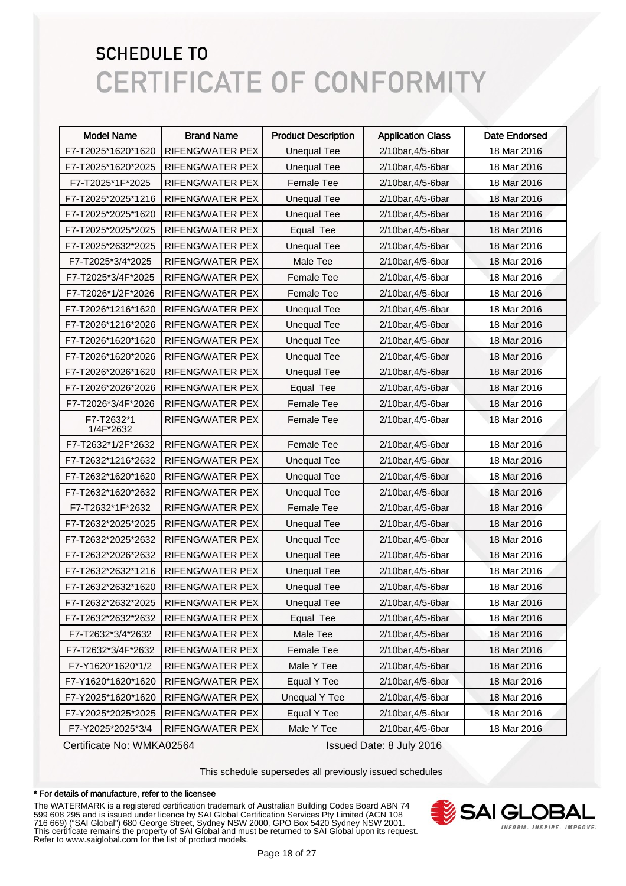| <b>Model Name</b>       | <b>Brand Name</b>       | <b>Product Description</b> | <b>Application Class</b> | <b>Date Endorsed</b> |
|-------------------------|-------------------------|----------------------------|--------------------------|----------------------|
| F7-T2025*1620*1620      | RIFENG/WATER PEX        | <b>Unequal Tee</b>         | 2/10bar, 4/5-6bar        | 18 Mar 2016          |
| F7-T2025*1620*2025      | RIFENG/WATER PEX        | <b>Unequal Tee</b>         | 2/10bar, 4/5-6bar        | 18 Mar 2016          |
| F7-T2025*1F*2025        | <b>RIFENG/WATER PEX</b> | Female Tee                 | 2/10bar, 4/5-6bar        | 18 Mar 2016          |
| F7-T2025*2025*1216      | RIFENG/WATER PEX        | <b>Unequal Tee</b>         | 2/10bar, 4/5-6bar        | 18 Mar 2016          |
| F7-T2025*2025*1620      | RIFENG/WATER PEX        | <b>Unequal Tee</b>         | 2/10bar, 4/5-6bar        | 18 Mar 2016          |
| F7-T2025*2025*2025      | RIFENG/WATER PEX        | Equal Tee                  | 2/10bar, 4/5-6bar        | 18 Mar 2016          |
| F7-T2025*2632*2025      | RIFENG/WATER PEX        | <b>Unequal Tee</b>         | 2/10bar, 4/5-6bar        | 18 Mar 2016          |
| F7-T2025*3/4*2025       | <b>RIFENG/WATER PEX</b> | Male Tee                   | 2/10bar, 4/5-6bar        | 18 Mar 2016          |
| F7-T2025*3/4F*2025      | RIFENG/WATER PEX        | <b>Female Tee</b>          | 2/10bar, 4/5-6bar        | 18 Mar 2016          |
| F7-T2026*1/2F*2026      | RIFENG/WATER PEX        | <b>Female Tee</b>          | 2/10bar, 4/5-6bar        | 18 Mar 2016          |
| F7-T2026*1216*1620      | RIFENG/WATER PEX        | <b>Unequal Tee</b>         | 2/10bar, 4/5-6bar        | 18 Mar 2016          |
| F7-T2026*1216*2026      | RIFENG/WATER PEX        | <b>Unequal Tee</b>         | 2/10bar, 4/5-6bar        | 18 Mar 2016          |
| F7-T2026*1620*1620      | RIFENG/WATER PEX        | <b>Unequal Tee</b>         | 2/10bar, 4/5-6bar        | 18 Mar 2016          |
| F7-T2026*1620*2026      | RIFENG/WATER PEX        | <b>Unequal Tee</b>         | 2/10bar, 4/5-6bar        | 18 Mar 2016          |
| F7-T2026*2026*1620      | RIFENG/WATER PEX        | <b>Unequal Tee</b>         | 2/10bar, 4/5-6bar        | 18 Mar 2016          |
| F7-T2026*2026*2026      | RIFENG/WATER PEX        | Equal Tee                  | 2/10bar, 4/5-6bar        | 18 Mar 2016          |
| F7-T2026*3/4F*2026      | RIFENG/WATER PEX        | <b>Female Tee</b>          | 2/10bar, 4/5-6bar        | 18 Mar 2016          |
| F7-T2632*1<br>1/4F*2632 | RIFENG/WATER PEX        | <b>Female Tee</b>          | 2/10bar, 4/5-6bar        | 18 Mar 2016          |
| F7-T2632*1/2F*2632      | RIFENG/WATER PEX        | <b>Female Tee</b>          | 2/10bar, 4/5-6bar        | 18 Mar 2016          |
| F7-T2632*1216*2632      | RIFENG/WATER PEX        | <b>Unequal Tee</b>         | 2/10bar, 4/5-6bar        | 18 Mar 2016          |
| F7-T2632*1620*1620      | RIFENG/WATER PEX        | <b>Unequal Tee</b>         | 2/10bar, 4/5-6bar        | 18 Mar 2016          |
| F7-T2632*1620*2632      | RIFENG/WATER PEX        | <b>Unequal Tee</b>         | 2/10bar, 4/5-6bar        | 18 Mar 2016          |
| F7-T2632*1F*2632        | RIFENG/WATER PEX        | <b>Female Tee</b>          | 2/10bar, 4/5-6bar        | 18 Mar 2016          |
| F7-T2632*2025*2025      | RIFENG/WATER PEX        | <b>Unequal Tee</b>         | 2/10bar, 4/5-6bar        | 18 Mar 2016          |
| F7-T2632*2025*2632      | RIFENG/WATER PEX        | <b>Unequal Tee</b>         | 2/10bar, 4/5-6bar        | 18 Mar 2016          |
| F7-T2632*2026*2632      | RIFENG/WATER PEX        | <b>Unequal Tee</b>         | 2/10bar, 4/5-6bar        | 18 Mar 2016          |
| F7-T2632*2632*1216      | <b>RIFENG/WATER PEX</b> | <b>Unequal Tee</b>         | 2/10bar, 4/5-6bar        | 18 Mar 2016          |
| F7-T2632*2632*1620      | RIFENG/WATER PEX        | <b>Unequal Tee</b>         | 2/10bar, 4/5-6bar        | 18 Mar 2016          |
| F7-T2632*2632*2025      | RIFENG/WATER PEX        | <b>Unequal Tee</b>         | 2/10bar, 4/5-6bar        | 18 Mar 2016          |
| F7-T2632*2632*2632      | RIFENG/WATER PEX        | Equal Tee                  | 2/10bar, 4/5-6bar        | 18 Mar 2016          |
| F7-T2632*3/4*2632       | RIFENG/WATER PEX        | Male Tee                   | 2/10bar, 4/5-6bar        | 18 Mar 2016          |
| F7-T2632*3/4F*2632      | RIFENG/WATER PEX        | Female Tee                 | 2/10bar, 4/5-6bar        | 18 Mar 2016          |
| F7-Y1620*1620*1/2       | RIFENG/WATER PEX        | Male Y Tee                 | 2/10bar, 4/5-6bar        | 18 Mar 2016          |
| F7-Y1620*1620*1620      | RIFENG/WATER PEX        | Equal Y Tee                | 2/10bar, 4/5-6bar        | 18 Mar 2016          |
| F7-Y2025*1620*1620      | RIFENG/WATER PEX        | <b>Unequal Y Tee</b>       | 2/10bar, 4/5-6bar        | 18 Mar 2016          |
| F7-Y2025*2025*2025      | RIFENG/WATER PEX        | Equal Y Tee                | 2/10bar, 4/5-6bar        | 18 Mar 2016          |
| F7-Y2025*2025*3/4       | RIFENG/WATER PEX        | Male Y Tee                 | 2/10bar, 4/5-6bar        | 18 Mar 2016          |

Certificate No: WMKA02564 Issued Date: 8 July 2016

This schedule supersedes all previously issued schedules

#### \* For details of manufacture, refer to the licensee

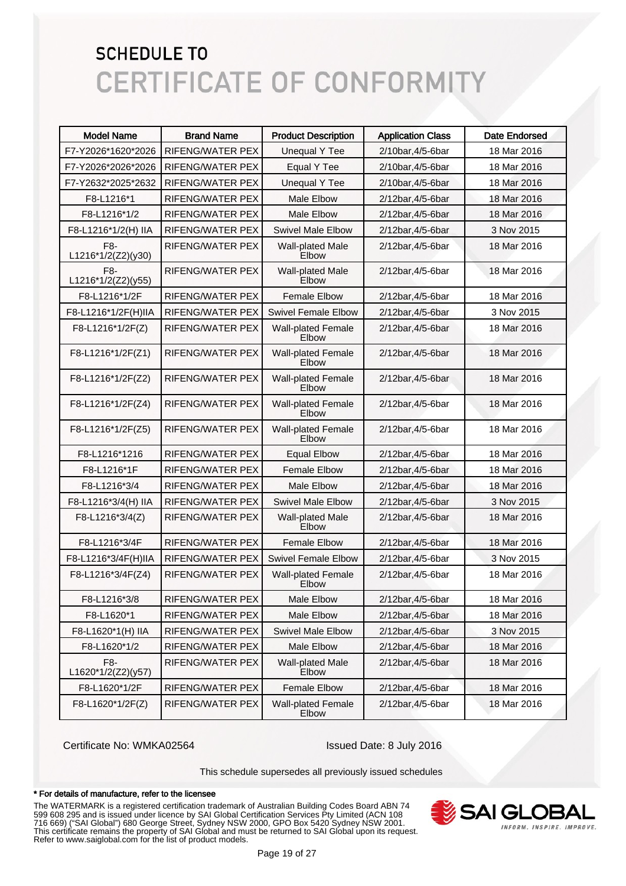| <b>Model Name</b>         | <b>Brand Name</b>       | <b>Product Description</b>         | <b>Application Class</b> | <b>Date Endorsed</b> |
|---------------------------|-------------------------|------------------------------------|--------------------------|----------------------|
| F7-Y2026*1620*2026        | RIFENG/WATER PEX        | <b>Unequal Y Tee</b>               | 2/10bar, 4/5-6bar        | 18 Mar 2016          |
| F7-Y2026*2026*2026        | RIFENG/WATER PEX        | Equal Y Tee                        | 2/10bar, 4/5-6bar        | 18 Mar 2016          |
| F7-Y2632*2025*2632        | RIFENG/WATER PEX        | Unequal Y Tee                      | 2/10bar, 4/5-6bar        | 18 Mar 2016          |
| F8-L1216*1                | RIFENG/WATER PEX        | <b>Male Elbow</b>                  | 2/12bar, 4/5-6bar        | 18 Mar 2016          |
| F8-L1216*1/2              | RIFENG/WATER PEX        | <b>Male Elbow</b>                  | 2/12bar, 4/5-6bar        | 18 Mar 2016          |
| F8-L1216*1/2(H) IIA       | RIFENG/WATER PEX        | <b>Swivel Male Elbow</b>           | 2/12bar, 4/5-6bar        | 3 Nov 2015           |
| F8-<br>L1216*1/2(Z2)(y30) | RIFENG/WATER PEX        | <b>Wall-plated Male</b><br>Elbow   | 2/12bar, 4/5-6bar        | 18 Mar 2016          |
| F8-<br>L1216*1/2(Z2)(y55) | RIFENG/WATER PEX        | <b>Wall-plated Male</b><br>Elbow   | 2/12bar, 4/5-6bar        | 18 Mar 2016          |
| F8-L1216*1/2F             | RIFENG/WATER PEX        | <b>Female Elbow</b>                | 2/12bar, 4/5-6bar        | 18 Mar 2016          |
| F8-L1216*1/2F(H)IIA       | RIFENG/WATER PEX        | <b>Swivel Female Elbow</b>         | 2/12bar, 4/5-6bar        | 3 Nov 2015           |
| F8-L1216*1/2F(Z)          | <b>RIFENG/WATER PEX</b> | <b>Wall-plated Female</b><br>Elbow | 2/12bar, 4/5-6bar        | 18 Mar 2016          |
| F8-L1216*1/2F(Z1)         | <b>RIFENG/WATER PEX</b> | <b>Wall-plated Female</b><br>Elbow | 2/12bar, 4/5-6bar        | 18 Mar 2016          |
| F8-L1216*1/2F(Z2)         | <b>RIFENG/WATER PEX</b> | <b>Wall-plated Female</b><br>Elbow | 2/12bar, 4/5-6bar        | 18 Mar 2016          |
| F8-L1216*1/2F(Z4)         | RIFENG/WATER PEX        | <b>Wall-plated Female</b><br>Elbow | 2/12bar, 4/5-6bar        | 18 Mar 2016          |
| F8-L1216*1/2F(Z5)         | <b>RIFENG/WATER PEX</b> | <b>Wall-plated Female</b><br>Elbow | 2/12bar, 4/5-6bar        | 18 Mar 2016          |
| F8-L1216*1216             | RIFENG/WATER PEX        | <b>Equal Elbow</b>                 | 2/12bar, 4/5-6bar        | 18 Mar 2016          |
| F8-L1216*1F               | RIFENG/WATER PEX        | <b>Female Elbow</b>                | 2/12bar, 4/5-6bar        | 18 Mar 2016          |
| F8-L1216*3/4              | <b>RIFENG/WATER PEX</b> | <b>Male Elbow</b>                  | 2/12bar, 4/5-6bar        | 18 Mar 2016          |
| F8-L1216*3/4(H) IIA       | RIFENG/WATER PEX        | <b>Swivel Male Elbow</b>           | 2/12bar, 4/5-6bar        | 3 Nov 2015           |
| F8-L1216*3/4(Z)           | RIFENG/WATER PEX        | <b>Wall-plated Male</b><br>Elbow   | 2/12bar, 4/5-6bar        | 18 Mar 2016          |
| F8-L1216*3/4F             | RIFENG/WATER PEX        | <b>Female Elbow</b>                | 2/12bar, 4/5-6bar        | 18 Mar 2016          |
| F8-L1216*3/4F(H)IIA       | RIFENG/WATER PEX        | <b>Swivel Female Elbow</b>         | 2/12bar, 4/5-6bar        | 3 Nov 2015           |
| F8-L1216*3/4F(Z4)         | RIFENG/WATER PEX        | Wall-plated Female<br>Elbow        | 2/12bar, 4/5-6bar        | 18 Mar 2016          |
| F8-L1216*3/8              | RIFENG/WATER PEX        | Male Elbow                         | 2/12bar, 4/5-6bar        | 18 Mar 2016          |
| F8-L1620*1                | RIFENG/WATER PEX        | Male Elbow                         | 2/12bar, 4/5-6bar        | 18 Mar 2016          |
| F8-L1620*1(H) IIA         | RIFENG/WATER PEX        | <b>Swivel Male Elbow</b>           | 2/12bar, 4/5-6bar        | 3 Nov 2015           |
| F8-L1620*1/2              | RIFENG/WATER PEX        | Male Elbow                         | 2/12bar, 4/5-6bar        | 18 Mar 2016          |
| F8-<br>L1620*1/2(Z2)(y57) | RIFENG/WATER PEX        | Wall-plated Male<br>Elbow          | 2/12bar, 4/5-6bar        | 18 Mar 2016          |
| F8-L1620*1/2F             | RIFENG/WATER PEX        | <b>Female Elbow</b>                | 2/12bar, 4/5-6bar        | 18 Mar 2016          |
| F8-L1620*1/2F(Z)          | RIFENG/WATER PEX        | Wall-plated Female<br>Elbow        | 2/12bar, 4/5-6bar        | 18 Mar 2016          |

Certificate No: WMKA02564 Issued Date: 8 July 2016

This schedule supersedes all previously issued schedules

#### \* For details of manufacture, refer to the licensee

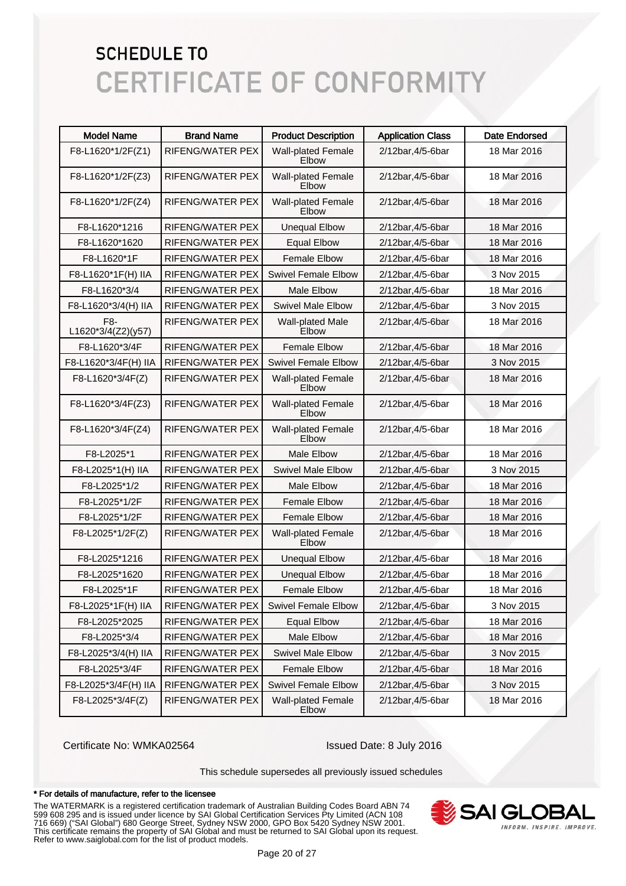| <b>Model Name</b>         | <b>Brand Name</b>       | <b>Product Description</b>         | <b>Application Class</b> | Date Endorsed |
|---------------------------|-------------------------|------------------------------------|--------------------------|---------------|
| F8-L1620*1/2F(Z1)         | <b>RIFENG/WATER PEX</b> | <b>Wall-plated Female</b><br>Elbow | 2/12bar, 4/5-6bar        | 18 Mar 2016   |
| F8-L1620*1/2F(Z3)         | RIFENG/WATER PEX        | <b>Wall-plated Female</b><br>Elbow | 2/12bar, 4/5-6bar        | 18 Mar 2016   |
| F8-L1620*1/2F(Z4)         | <b>RIFENG/WATER PEX</b> | <b>Wall-plated Female</b><br>Elbow | 2/12bar, 4/5-6bar        | 18 Mar 2016   |
| F8-L1620*1216             | RIFENG/WATER PEX        | <b>Unequal Elbow</b>               | 2/12bar, 4/5-6bar        | 18 Mar 2016   |
| F8-L1620*1620             | RIFENG/WATER PEX        | <b>Equal Elbow</b>                 | 2/12bar, 4/5-6bar        | 18 Mar 2016   |
| F8-L1620*1F               | RIFENG/WATER PEX        | <b>Female Elbow</b>                | 2/12bar, 4/5-6bar        | 18 Mar 2016   |
| F8-L1620*1F(H) IIA        | RIFENG/WATER PEX        | <b>Swivel Female Elbow</b>         | 2/12bar, 4/5-6bar        | 3 Nov 2015    |
| F8-L1620*3/4              | RIFENG/WATER PEX        | <b>Male Elbow</b>                  | 2/12bar, 4/5-6bar        | 18 Mar 2016   |
| F8-L1620*3/4(H) IIA       | RIFENG/WATER PEX        | <b>Swivel Male Elbow</b>           | 2/12bar, 4/5-6bar        | 3 Nov 2015    |
| F8-<br>L1620*3/4(Z2)(y57) | RIFENG/WATER PEX        | <b>Wall-plated Male</b><br>Elbow   | 2/12bar, 4/5-6bar        | 18 Mar 2016   |
| F8-L1620*3/4F             | RIFENG/WATER PEX        | <b>Female Elbow</b>                | 2/12bar, 4/5-6bar        | 18 Mar 2016   |
| F8-L1620*3/4F(H) IIA      | <b>RIFENG/WATER PEX</b> | <b>Swivel Female Elbow</b>         | 2/12bar, 4/5-6bar        | 3 Nov 2015    |
| F8-L1620*3/4F(Z)          | RIFENG/WATER PEX        | <b>Wall-plated Female</b><br>Elbow | 2/12bar, 4/5-6bar        | 18 Mar 2016   |
| F8-L1620*3/4F(Z3)         | RIFENG/WATER PEX        | <b>Wall-plated Female</b><br>Elbow | 2/12bar, 4/5-6bar        | 18 Mar 2016   |
| F8-L1620*3/4F(Z4)         | RIFENG/WATER PEX        | <b>Wall-plated Female</b><br>Elbow | 2/12bar, 4/5-6bar        | 18 Mar 2016   |
| F8-L2025*1                | RIFENG/WATER PEX        | <b>Male Elbow</b>                  | 2/12bar, 4/5-6bar        | 18 Mar 2016   |
| F8-L2025*1(H) IIA         | RIFENG/WATER PEX        | <b>Swivel Male Elbow</b>           | 2/12bar, 4/5-6bar        | 3 Nov 2015    |
| F8-L2025*1/2              | RIFENG/WATER PEX        | <b>Male Elbow</b>                  | 2/12bar, 4/5-6bar        | 18 Mar 2016   |
| F8-L2025*1/2F             | RIFENG/WATER PEX        | <b>Female Elbow</b>                | 2/12bar, 4/5-6bar        | 18 Mar 2016   |
| F8-L2025*1/2F             | RIFENG/WATER PEX        | <b>Female Elbow</b>                | 2/12bar, 4/5-6bar        | 18 Mar 2016   |
| F8-L2025*1/2F(Z)          | RIFENG/WATER PEX        | <b>Wall-plated Female</b><br>Elbow | 2/12bar, 4/5-6bar        | 18 Mar 2016   |
| F8-L2025*1216             | RIFENG/WATER PEX        | <b>Unequal Elbow</b>               | 2/12bar, 4/5-6bar        | 18 Mar 2016   |
| F8-L2025*1620             | RIFENG/WATER PEX        | <b>Unequal Elbow</b>               | 2/12bar, 4/5-6bar        | 18 Mar 2016   |
| F8-L2025*1F               | RIFENG/WATER PEX        | <b>Female Elbow</b>                | 2/12bar, 4/5-6bar        | 18 Mar 2016   |
| F8-L2025*1F(H) IIA        | RIFENG/WATER PEX        | <b>Swivel Female Elbow</b>         | 2/12bar, 4/5-6bar        | 3 Nov 2015    |
| F8-L2025*2025             | RIFENG/WATER PEX        | <b>Equal Elbow</b>                 | 2/12bar, 4/5-6bar        | 18 Mar 2016   |
| F8-L2025*3/4              | RIFENG/WATER PEX        | Male Elbow                         | 2/12bar, 4/5-6bar        | 18 Mar 2016   |
| F8-L2025*3/4(H) IIA       | RIFENG/WATER PEX        | <b>Swivel Male Elbow</b>           | 2/12bar, 4/5-6bar        | 3 Nov 2015    |
| F8-L2025*3/4F             | RIFENG/WATER PEX        | <b>Female Elbow</b>                | 2/12bar, 4/5-6bar        | 18 Mar 2016   |
| F8-L2025*3/4F(H) IIA      | RIFENG/WATER PEX        | <b>Swivel Female Elbow</b>         | 2/12bar, 4/5-6bar        | 3 Nov 2015    |
| F8-L2025*3/4F(Z)          | RIFENG/WATER PEX        | <b>Wall-plated Female</b><br>Elbow | 2/12bar, 4/5-6bar        | 18 Mar 2016   |

Certificate No: WMKA02564 Issued Date: 8 July 2016

This schedule supersedes all previously issued schedules

#### \* For details of manufacture, refer to the licensee

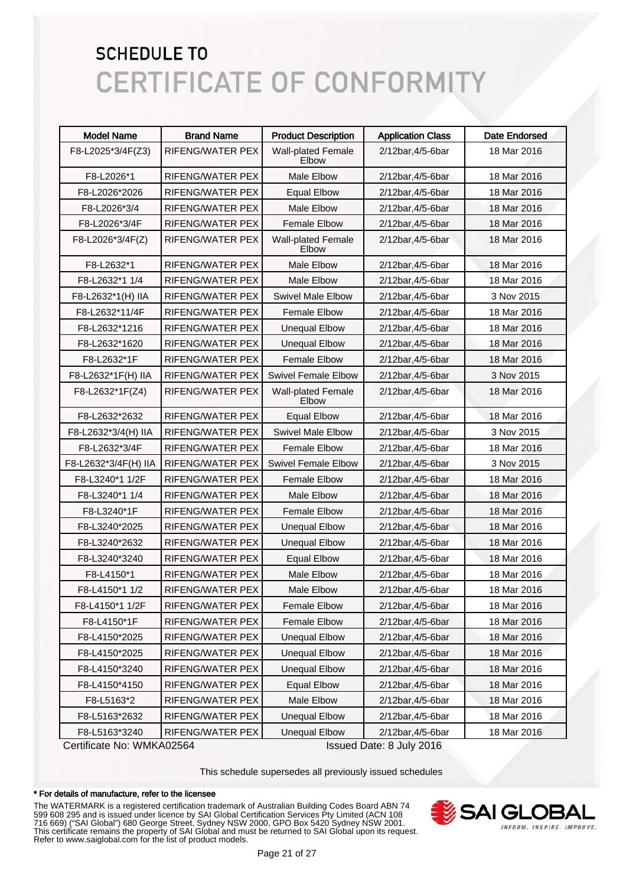| <b>Model Name</b>    | <b>Brand Name</b>       | <b>Product Description</b>         | <b>Application Class</b> | <b>Date Endorsed</b> |
|----------------------|-------------------------|------------------------------------|--------------------------|----------------------|
| F8-L2025*3/4F(Z3)    | RIFENG/WATER PEX        | <b>Wall-plated Female</b><br>Elbow | 2/12bar, 4/5-6bar        | 18 Mar 2016          |
| F8-L2026*1           | RIFENG/WATER PEX        | Male Elbow                         | 2/12bar, 4/5-6bar        | 18 Mar 2016          |
| F8-L2026*2026        | RIFENG/WATER PEX        | <b>Equal Elbow</b>                 | 2/12bar, 4/5-6bar        | 18 Mar 2016          |
| F8-L2026*3/4         | RIFENG/WATER PEX        | Male Elbow                         | 2/12bar, 4/5-6bar        | 18 Mar 2016          |
| F8-L2026*3/4F        | RIFENG/WATER PEX        | Female Elbow                       | 2/12bar, 4/5-6bar        | 18 Mar 2016          |
| F8-L2026*3/4F(Z)     | <b>RIFENG/WATER PEX</b> | <b>Wall-plated Female</b><br>Elbow | 2/12bar, 4/5-6bar        | 18 Mar 2016          |
| F8-L2632*1           | RIFENG/WATER PEX        | <b>Male Elbow</b>                  | 2/12bar, 4/5-6bar        | 18 Mar 2016          |
| F8-L2632*1 1/4       | RIFENG/WATER PEX        | <b>Male Elbow</b>                  | 2/12bar, 4/5-6bar        | 18 Mar 2016          |
| F8-L2632*1(H) IIA    | RIFENG/WATER PEX        | <b>Swivel Male Elbow</b>           | 2/12bar, 4/5-6bar        | 3 Nov 2015           |
| F8-L2632*11/4F       | RIFENG/WATER PEX        | <b>Female Elbow</b>                | 2/12bar, 4/5-6bar        | 18 Mar 2016          |
| F8-L2632*1216        | RIFENG/WATER PEX        | <b>Unequal Elbow</b>               | 2/12bar, 4/5-6bar        | 18 Mar 2016          |
| F8-L2632*1620        | RIFENG/WATER PEX        | <b>Unequal Elbow</b>               | 2/12bar, 4/5-6bar        | 18 Mar 2016          |
| F8-L2632*1F          | RIFENG/WATER PEX        | <b>Female Elbow</b>                | 2/12bar, 4/5-6bar        | 18 Mar 2016          |
| F8-L2632*1F(H) IIA   | RIFENG/WATER PEX        | <b>Swivel Female Elbow</b>         | 2/12bar, 4/5-6bar        | 3 Nov 2015           |
| F8-L2632*1F(Z4)      | RIFENG/WATER PEX        | <b>Wall-plated Female</b><br>Elbow | 2/12bar, 4/5-6bar        | 18 Mar 2016          |
| F8-L2632*2632        | <b>RIFENG/WATER PEX</b> | <b>Equal Elbow</b>                 | 2/12bar, 4/5-6bar        | 18 Mar 2016          |
| F8-L2632*3/4(H) IIA  | RIFENG/WATER PEX        | <b>Swivel Male Elbow</b>           | 2/12bar, 4/5-6bar        | 3 Nov 2015           |
| F8-L2632*3/4F        | RIFENG/WATER PEX        | <b>Female Elbow</b>                | 2/12bar, 4/5-6bar        | 18 Mar 2016          |
| F8-L2632*3/4F(H) IIA | RIFENG/WATER PEX        | <b>Swivel Female Elbow</b>         | 2/12bar, 4/5-6bar        | 3 Nov 2015           |
| F8-L3240*1 1/2F      | RIFENG/WATER PEX        | <b>Female Elbow</b>                | 2/12bar, 4/5-6bar        | 18 Mar 2016          |
| F8-L3240*1 1/4       | RIFENG/WATER PEX        | <b>Male Elbow</b>                  | 2/12bar, 4/5-6bar        | 18 Mar 2016          |
| F8-L3240*1F          | RIFENG/WATER PEX        | <b>Female Elbow</b>                | 2/12bar, 4/5-6bar        | 18 Mar 2016          |
| F8-L3240*2025        | RIFENG/WATER PEX        | <b>Unequal Elbow</b>               | 2/12bar, 4/5-6bar        | 18 Mar 2016          |
| F8-L3240*2632        | RIFENG/WATER PEX        | <b>Unequal Elbow</b>               | 2/12bar, 4/5-6bar        | 18 Mar 2016          |
| F8-L3240*3240        | RIFENG/WATER PEX        | <b>Equal Elbow</b>                 | 2/12bar, 4/5-6bar        | 18 Mar 2016          |
| F8-L4150*1           | RIFENG/WATER PEX        | <b>Male Elbow</b>                  | 2/12bar, 4/5-6bar        | 18 Mar 2016          |
| F8-L4150*1 1/2       | RIFENG/WATER PEX        | Male Elbow                         | 2/12bar, 4/5-6bar        | 18 Mar 2016          |
| F8-L4150*1 1/2F      | RIFENG/WATER PEX        | <b>Female Elbow</b>                | 2/12bar, 4/5-6bar        | 18 Mar 2016          |
| F8-L4150*1F          | RIFENG/WATER PEX        | <b>Female Elbow</b>                | 2/12bar, 4/5-6bar        | 18 Mar 2016          |
| F8-L4150*2025        | RIFENG/WATER PEX        | <b>Unequal Elbow</b>               | 2/12bar, 4/5-6bar        | 18 Mar 2016          |
| F8-L4150*2025        | RIFENG/WATER PEX        | <b>Unequal Elbow</b>               | 2/12bar, 4/5-6bar        | 18 Mar 2016          |
| F8-L4150*3240        | RIFENG/WATER PEX        | <b>Unequal Elbow</b>               | 2/12bar, 4/5-6bar        | 18 Mar 2016          |
| F8-L4150*4150        | RIFENG/WATER PEX        | <b>Equal Elbow</b>                 | 2/12bar, 4/5-6bar        | 18 Mar 2016          |
| F8-L5163*2           | RIFENG/WATER PEX        | Male Elbow                         | 2/12bar, 4/5-6bar        | 18 Mar 2016          |
| F8-L5163*2632        | RIFENG/WATER PEX        | <b>Unequal Elbow</b>               | 2/12bar, 4/5-6bar        | 18 Mar 2016          |
| F8-L5163*3240        | RIFENG/WATER PEX        | <b>Unequal Elbow</b>               | 2/12bar, 4/5-6bar        | 18 Mar 2016          |

Certificate No: WMKA02564 Issued Date: 8 July 2016

This schedule supersedes all previously issued schedules

#### \* For details of manufacture, refer to the licensee

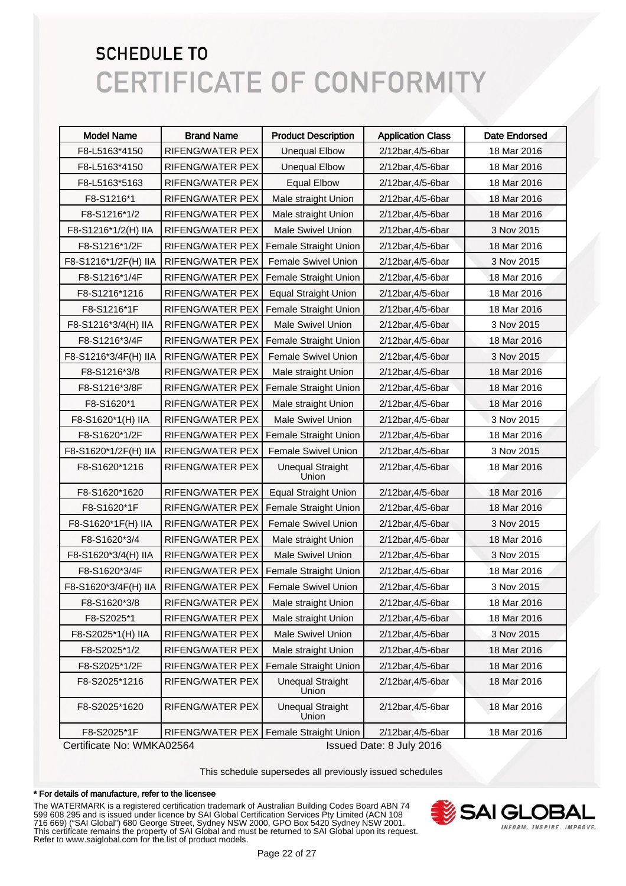| <b>Model Name</b>         | <b>Brand Name</b> | <b>Product Description</b>       | <b>Application Class</b> | <b>Date Endorsed</b> |
|---------------------------|-------------------|----------------------------------|--------------------------|----------------------|
| F8-L5163*4150             | RIFENG/WATER PEX  | <b>Unequal Elbow</b>             | 2/12bar, 4/5-6bar        | 18 Mar 2016          |
| F8-L5163*4150             | RIFENG/WATER PEX  | <b>Unequal Elbow</b>             | 2/12bar, 4/5-6bar        | 18 Mar 2016          |
| F8-L5163*5163             | RIFENG/WATER PEX  | <b>Equal Elbow</b>               | 2/12bar, 4/5-6bar        | 18 Mar 2016          |
| F8-S1216*1                | RIFENG/WATER PEX  | Male straight Union              | 2/12bar, 4/5-6bar        | 18 Mar 2016          |
| F8-S1216*1/2              | RIFENG/WATER PEX  | Male straight Union              | 2/12bar, 4/5-6bar        | 18 Mar 2016          |
| F8-S1216*1/2(H) IIA       | RIFENG/WATER PEX  | Male Swivel Union                | 2/12bar, 4/5-6bar        | 3 Nov 2015           |
| F8-S1216*1/2F             | RIFENG/WATER PEX  | <b>Female Straight Union</b>     | 2/12bar, 4/5-6bar        | 18 Mar 2016          |
| F8-S1216*1/2F(H) IIA      | RIFENG/WATER PEX  | Female Swivel Union              | 2/12bar, 4/5-6bar        | 3 Nov 2015           |
| F8-S1216*1/4F             | RIFENG/WATER PEX  | Female Straight Union            | 2/12bar, 4/5-6bar        | 18 Mar 2016          |
| F8-S1216*1216             | RIFENG/WATER PEX  | <b>Equal Straight Union</b>      | 2/12bar, 4/5-6bar        | 18 Mar 2016          |
| F8-S1216*1F               | RIFENG/WATER PEX  | Female Straight Union            | 2/12bar, 4/5-6bar        | 18 Mar 2016          |
| F8-S1216*3/4(H) IIA       | RIFENG/WATER PEX  | <b>Male Swivel Union</b>         | 2/12bar, 4/5-6bar        | 3 Nov 2015           |
| F8-S1216*3/4F             | RIFENG/WATER PEX  | Female Straight Union            | 2/12bar, 4/5-6bar        | 18 Mar 2016          |
| F8-S1216*3/4F(H) IIA      | RIFENG/WATER PEX  | Female Swivel Union              | 2/12bar, 4/5-6bar        | 3 Nov 2015           |
| F8-S1216*3/8              | RIFENG/WATER PEX  | Male straight Union              | 2/12bar, 4/5-6bar        | 18 Mar 2016          |
| F8-S1216*3/8F             | RIFENG/WATER PEX  | Female Straight Union            | 2/12bar, 4/5-6bar        | 18 Mar 2016          |
| F8-S1620*1                | RIFENG/WATER PEX  | Male straight Union              | 2/12bar, 4/5-6bar        | 18 Mar 2016          |
| F8-S1620*1(H) IIA         | RIFENG/WATER PEX  | <b>Male Swivel Union</b>         | 2/12bar, 4/5-6bar        | 3 Nov 2015           |
| F8-S1620*1/2F             | RIFENG/WATER PEX  | Female Straight Union            | 2/12bar, 4/5-6bar        | 18 Mar 2016          |
| F8-S1620*1/2F(H) IIA      | RIFENG/WATER PEX  | Female Swivel Union              | 2/12bar, 4/5-6bar        | 3 Nov 2015           |
| F8-S1620*1216             | RIFENG/WATER PEX  | <b>Unequal Straight</b><br>Union | 2/12bar, 4/5-6bar        | 18 Mar 2016          |
| F8-S1620*1620             | RIFENG/WATER PEX  | <b>Equal Straight Union</b>      | 2/12bar, 4/5-6bar        | 18 Mar 2016          |
| F8-S1620*1F               | RIFENG/WATER PEX  | Female Straight Union            | 2/12bar, 4/5-6bar        | 18 Mar 2016          |
| F8-S1620*1F(H) IIA        | RIFENG/WATER PEX  | Female Swivel Union              | 2/12bar, 4/5-6bar        | 3 Nov 2015           |
| F8-S1620*3/4              | RIFENG/WATER PEX  | Male straight Union              | 2/12bar, 4/5-6bar        | 18 Mar 2016          |
| F8-S1620*3/4(H) IIA       | RIFENG/WATER PEX  | <b>Male Swivel Union</b>         | 2/12bar, 4/5-6bar        | 3 Nov 2015           |
| F8-S1620*3/4F             | RIFENG/WATER PEX  | Female Straight Union            | 2/12bar, 4/5-6bar        | 18 Mar 2016          |
| F8-S1620*3/4F(H) IIA      | RIFENG/WATER PEX  | Female Swivel Union              | 2/12bar, 4/5-6bar        | 3 Nov 2015           |
| F8-S1620*3/8              | RIFENG/WATER PEX  | Male straight Union              | 2/12bar, 4/5-6bar        | 18 Mar 2016          |
| F8-S2025*1                | RIFENG/WATER PEX  | Male straight Union              | 2/12bar, 4/5-6bar        | 18 Mar 2016          |
| F8-S2025*1(H) IIA         | RIFENG/WATER PEX  | Male Swivel Union                | 2/12bar, 4/5-6bar        | 3 Nov 2015           |
| F8-S2025*1/2              | RIFENG/WATER PEX  | Male straight Union              | 2/12bar, 4/5-6bar        | 18 Mar 2016          |
| F8-S2025*1/2F             | RIFENG/WATER PEX  | Female Straight Union            | 2/12bar, 4/5-6bar        | 18 Mar 2016          |
| F8-S2025*1216             | RIFENG/WATER PEX  | <b>Unequal Straight</b><br>Union | 2/12bar, 4/5-6bar        | 18 Mar 2016          |
| F8-S2025*1620             | RIFENG/WATER PEX  | <b>Unequal Straight</b><br>Union | 2/12bar, 4/5-6bar        | 18 Mar 2016          |
| F8-S2025*1F               | RIFENG/WATER PEX  | Female Straight Union            | 2/12bar, 4/5-6bar        | 18 Mar 2016          |
| Certificate No: WMKA02564 |                   |                                  | Issued Date: 8 July 2016 |                      |

This schedule supersedes all previously issued schedules

#### \* For details of manufacture, refer to the licensee

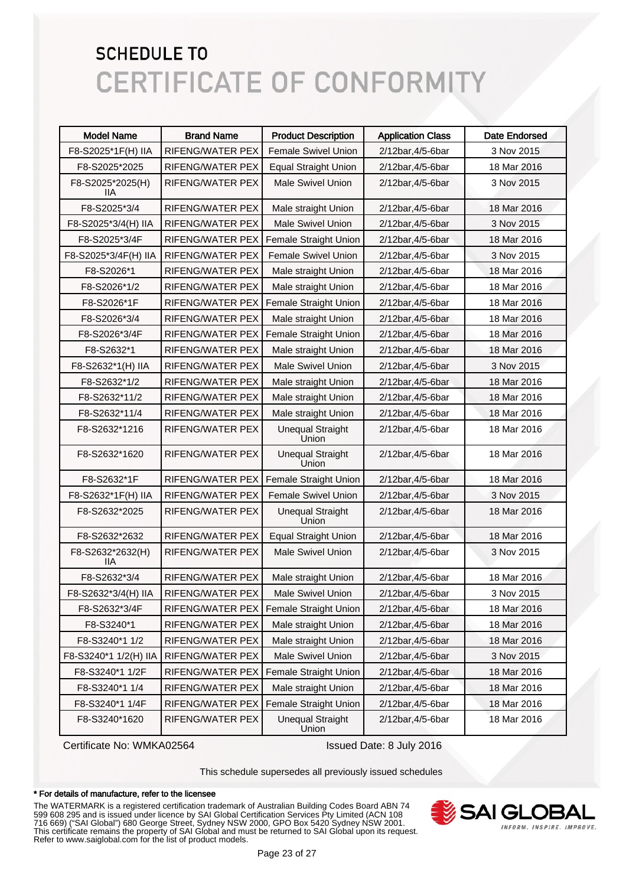| <b>Model Name</b>       | <b>Brand Name</b>       | <b>Product Description</b>       | <b>Application Class</b> | Date Endorsed |
|-------------------------|-------------------------|----------------------------------|--------------------------|---------------|
| F8-S2025*1F(H) IIA      | RIFENG/WATER PEX        | <b>Female Swivel Union</b>       | 2/12bar, 4/5-6bar        | 3 Nov 2015    |
| F8-S2025*2025           | RIFENG/WATER PEX        | <b>Equal Straight Union</b>      | 2/12bar, 4/5-6bar        | 18 Mar 2016   |
| F8-S2025*2025(H)<br>llА | RIFENG/WATER PEX        | <b>Male Swivel Union</b>         | 2/12bar, 4/5-6bar        | 3 Nov 2015    |
| F8-S2025*3/4            | RIFENG/WATER PEX        | Male straight Union              | 2/12bar, 4/5-6bar        | 18 Mar 2016   |
| F8-S2025*3/4(H) IIA     | <b>RIFENG/WATER PEX</b> | <b>Male Swivel Union</b>         | 2/12bar, 4/5-6bar        | 3 Nov 2015    |
| F8-S2025*3/4F           | RIFENG/WATER PEX        | Female Straight Union            | 2/12bar, 4/5-6bar        | 18 Mar 2016   |
| F8-S2025*3/4F(H) IIA    | RIFENG/WATER PEX        | Female Swivel Union              | 2/12bar, 4/5-6bar        | 3 Nov 2015    |
| F8-S2026*1              | <b>RIFENG/WATER PEX</b> | Male straight Union              | 2/12bar, 4/5-6bar        | 18 Mar 2016   |
| F8-S2026*1/2            | RIFENG/WATER PEX        | Male straight Union              | 2/12bar, 4/5-6bar        | 18 Mar 2016   |
| F8-S2026*1F             | RIFENG/WATER PEX        | Female Straight Union            | 2/12bar, 4/5-6bar        | 18 Mar 2016   |
| F8-S2026*3/4            | RIFENG/WATER PEX        | Male straight Union              | 2/12bar, 4/5-6bar        | 18 Mar 2016   |
| F8-S2026*3/4F           | <b>RIFENG/WATER PEX</b> | Female Straight Union            | 2/12bar, 4/5-6bar        | 18 Mar 2016   |
| F8-S2632*1              | RIFENG/WATER PEX        | Male straight Union              | 2/12bar, 4/5-6bar        | 18 Mar 2016   |
| F8-S2632*1(H) IIA       | RIFENG/WATER PEX        | <b>Male Swivel Union</b>         | 2/12bar, 4/5-6bar        | 3 Nov 2015    |
| F8-S2632*1/2            | RIFENG/WATER PEX        | Male straight Union              | 2/12bar, 4/5-6bar        | 18 Mar 2016   |
| F8-S2632*11/2           | <b>RIFENG/WATER PEX</b> | Male straight Union              | 2/12bar, 4/5-6bar        | 18 Mar 2016   |
| F8-S2632*11/4           | RIFENG/WATER PEX        | Male straight Union              | 2/12bar, 4/5-6bar        | 18 Mar 2016   |
| F8-S2632*1216           | RIFENG/WATER PEX        | <b>Unequal Straight</b><br>Union | 2/12bar, 4/5-6bar        | 18 Mar 2016   |
| F8-S2632*1620           | RIFENG/WATER PEX        | <b>Unequal Straight</b><br>Union | 2/12bar, 4/5-6bar        | 18 Mar 2016   |
| F8-S2632*1F             | <b>RIFENG/WATER PEX</b> | Female Straight Union            | 2/12bar, 4/5-6bar        | 18 Mar 2016   |
| F8-S2632*1F(H) IIA      | RIFENG/WATER PEX        | <b>Female Swivel Union</b>       | 2/12bar, 4/5-6bar        | 3 Nov 2015    |
| F8-S2632*2025           | RIFENG/WATER PEX        | <b>Unequal Straight</b><br>Union | 2/12bar, 4/5-6bar        | 18 Mar 2016   |
| F8-S2632*2632           | <b>RIFENG/WATER PEX</b> | <b>Equal Straight Union</b>      | 2/12bar, 4/5-6bar        | 18 Mar 2016   |
| F8-S2632*2632(H)<br>llА | RIFENG/WATER PEX        | <b>Male Swivel Union</b>         | 2/12bar, 4/5-6bar        | 3 Nov 2015    |
| F8-S2632*3/4            | RIFENG/WATER PEX        | Male straight Union              | 2/12bar, 4/5-6bar        | 18 Mar 2016   |
| F8-S2632*3/4(H) IIA     | RIFENG/WATER PEX        | <b>Male Swivel Union</b>         | 2/12bar, 4/5-6bar        | 3 Nov 2015    |
| F8-S2632*3/4F           | RIFENG/WATER PEX        | Female Straight Union            | 2/12bar, 4/5-6bar        | 18 Mar 2016   |
| F8-S3240*1              | RIFENG/WATER PEX        | Male straight Union              | 2/12bar, 4/5-6bar        | 18 Mar 2016   |
| F8-S3240*1 1/2          | RIFENG/WATER PEX        | Male straight Union              | 2/12bar, 4/5-6bar        | 18 Mar 2016   |
| F8-S3240*1 1/2(H) IIA   | RIFENG/WATER PEX        | <b>Male Swivel Union</b>         | 2/12bar, 4/5-6bar        | 3 Nov 2015    |
| F8-S3240*1 1/2F         | RIFENG/WATER PEX        | Female Straight Union            | 2/12bar, 4/5-6bar        | 18 Mar 2016   |
| F8-S3240*1 1/4          | RIFENG/WATER PEX        | Male straight Union              | 2/12bar, 4/5-6bar        | 18 Mar 2016   |
| F8-S3240*1 1/4F         | RIFENG/WATER PEX        | Female Straight Union            | 2/12bar, 4/5-6bar        | 18 Mar 2016   |
| F8-S3240*1620           | RIFENG/WATER PEX        | <b>Unequal Straight</b><br>Union | 2/12bar, 4/5-6bar        | 18 Mar 2016   |

Certificate No: WMKA02564 Issued Date: 8 July 2016

This schedule supersedes all previously issued schedules

#### \* For details of manufacture, refer to the licensee

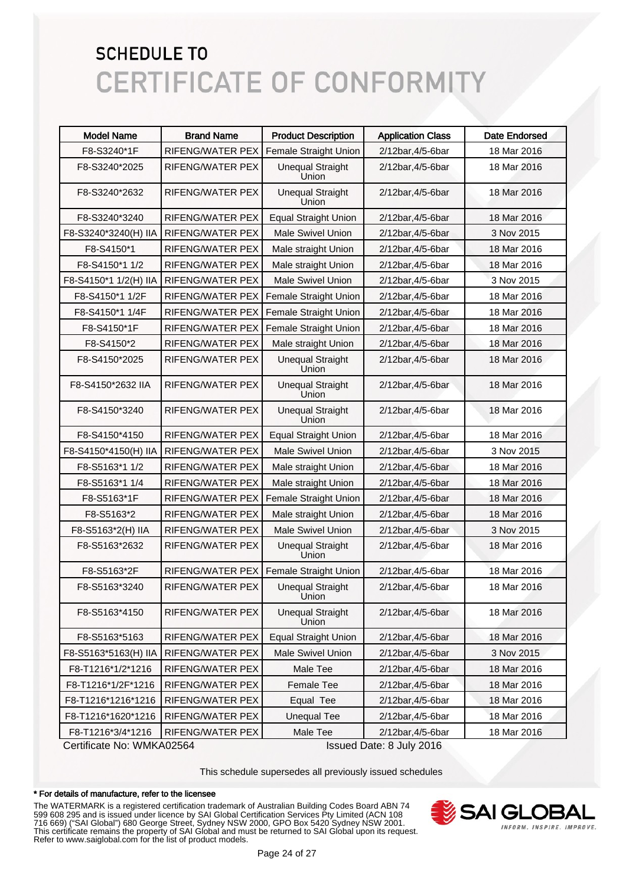| <b>Model Name</b>         | <b>Brand Name</b>       | <b>Product Description</b>       | <b>Application Class</b> | <b>Date Endorsed</b> |
|---------------------------|-------------------------|----------------------------------|--------------------------|----------------------|
| F8-S3240*1F               | RIFENG/WATER PEX        | Female Straight Union            | 2/12bar, 4/5-6bar        | 18 Mar 2016          |
| F8-S3240*2025             | RIFENG/WATER PEX        | <b>Unequal Straight</b><br>Union | 2/12bar, 4/5-6bar        | 18 Mar 2016          |
| F8-S3240*2632             | RIFENG/WATER PEX        | <b>Unequal Straight</b><br>Union | 2/12bar, 4/5-6bar        | 18 Mar 2016          |
| F8-S3240*3240             | RIFENG/WATER PEX        | <b>Equal Straight Union</b>      | 2/12bar, 4/5-6bar        | 18 Mar 2016          |
| F8-S3240*3240(H) IIA      | RIFENG/WATER PEX        | <b>Male Swivel Union</b>         | 2/12bar, 4/5-6bar        | 3 Nov 2015           |
| F8-S4150*1                | RIFENG/WATER PEX        | Male straight Union              | 2/12bar, 4/5-6bar        | 18 Mar 2016          |
| F8-S4150*1 1/2            | RIFENG/WATER PEX        | Male straight Union              | 2/12bar, 4/5-6bar        | 18 Mar 2016          |
| F8-S4150*1 1/2(H) IIA     | RIFENG/WATER PEX        | <b>Male Swivel Union</b>         | 2/12bar, 4/5-6bar        | 3 Nov 2015           |
| F8-S4150*1 1/2F           | <b>RIFENG/WATER PEX</b> | Female Straight Union            | 2/12bar, 4/5-6bar        | 18 Mar 2016          |
| F8-S4150*1 1/4F           | RIFENG/WATER PEX        | Female Straight Union            | 2/12bar, 4/5-6bar        | 18 Mar 2016          |
| F8-S4150*1F               | RIFENG/WATER PEX        | Female Straight Union            | 2/12bar, 4/5-6bar        | 18 Mar 2016          |
| F8-S4150*2                | <b>RIFENG/WATER PEX</b> | Male straight Union              | 2/12bar, 4/5-6bar        | 18 Mar 2016          |
| F8-S4150*2025             | RIFENG/WATER PEX        | <b>Unequal Straight</b><br>Union | 2/12bar, 4/5-6bar        | 18 Mar 2016          |
| F8-S4150*2632 IIA         | <b>RIFENG/WATER PEX</b> | <b>Unequal Straight</b><br>Union | 2/12bar, 4/5-6bar        | 18 Mar 2016          |
| F8-S4150*3240             | <b>RIFENG/WATER PEX</b> | <b>Unequal Straight</b><br>Union | 2/12bar, 4/5-6bar        | 18 Mar 2016          |
| F8-S4150*4150             | <b>RIFENG/WATER PEX</b> | <b>Equal Straight Union</b>      | 2/12bar, 4/5-6bar        | 18 Mar 2016          |
| F8-S4150*4150(H) IIA      | <b>RIFENG/WATER PEX</b> | <b>Male Swivel Union</b>         | 2/12bar, 4/5-6bar        | 3 Nov 2015           |
| F8-S5163*1 1/2            | RIFENG/WATER PEX        | Male straight Union              | 2/12bar, 4/5-6bar        | 18 Mar 2016          |
| F8-S5163*1 1/4            | RIFENG/WATER PEX        | Male straight Union              | 2/12bar, 4/5-6bar        | 18 Mar 2016          |
| F8-S5163*1F               | RIFENG/WATER PEX        | Female Straight Union            | 2/12bar, 4/5-6bar        | 18 Mar 2016          |
| F8-S5163*2                | RIFENG/WATER PEX        | Male straight Union              | 2/12bar, 4/5-6bar        | 18 Mar 2016          |
| F8-S5163*2(H) IIA         | RIFENG/WATER PEX        | <b>Male Swivel Union</b>         | 2/12bar, 4/5-6bar        | 3 Nov 2015           |
| F8-S5163*2632             | RIFENG/WATER PEX        | <b>Unequal Straight</b><br>Union | 2/12bar, 4/5-6bar        | 18 Mar 2016          |
| F8-S5163*2F               | <b>RIFENG/WATER PEX</b> | Female Straight Union            | 2/12bar, 4/5-6bar        | 18 Mar 2016          |
| F8-S5163*3240             | <b>RIFENG/WATER PEX</b> | <b>Unequal Straight</b><br>Union | 2/12bar, 4/5-6bar        | 18 Mar 2016          |
| F8-S5163*4150             | RIFENG/WATER PEX        | <b>Unequal Straight</b><br>Union | 2/12bar, 4/5-6bar        | 18 Mar 2016          |
| F8-S5163*5163             | RIFENG/WATER PEX        | <b>Equal Straight Union</b>      | 2/12bar, 4/5-6bar        | 18 Mar 2016          |
| F8-S5163*5163(H) IIA      | RIFENG/WATER PEX        | Male Swivel Union                | 2/12bar, 4/5-6bar        | 3 Nov 2015           |
| F8-T1216*1/2*1216         | RIFENG/WATER PEX        | Male Tee                         | 2/12bar, 4/5-6bar        | 18 Mar 2016          |
| F8-T1216*1/2F*1216        | RIFENG/WATER PEX        | Female Tee                       | 2/12bar, 4/5-6bar        | 18 Mar 2016          |
| F8-T1216*1216*1216        | RIFENG/WATER PEX        | Equal Tee                        | 2/12bar, 4/5-6bar        | 18 Mar 2016          |
| F8-T1216*1620*1216        | RIFENG/WATER PEX        | <b>Unequal Tee</b>               | 2/12bar, 4/5-6bar        | 18 Mar 2016          |
| F8-T1216*3/4*1216         | RIFENG/WATER PEX        | Male Tee                         | 2/12bar, 4/5-6bar        | 18 Mar 2016          |
| Certificate No: WMKA02564 |                         |                                  | Issued Date: 8 July 2016 |                      |

This schedule supersedes all previously issued schedules

#### \* For details of manufacture, refer to the licensee

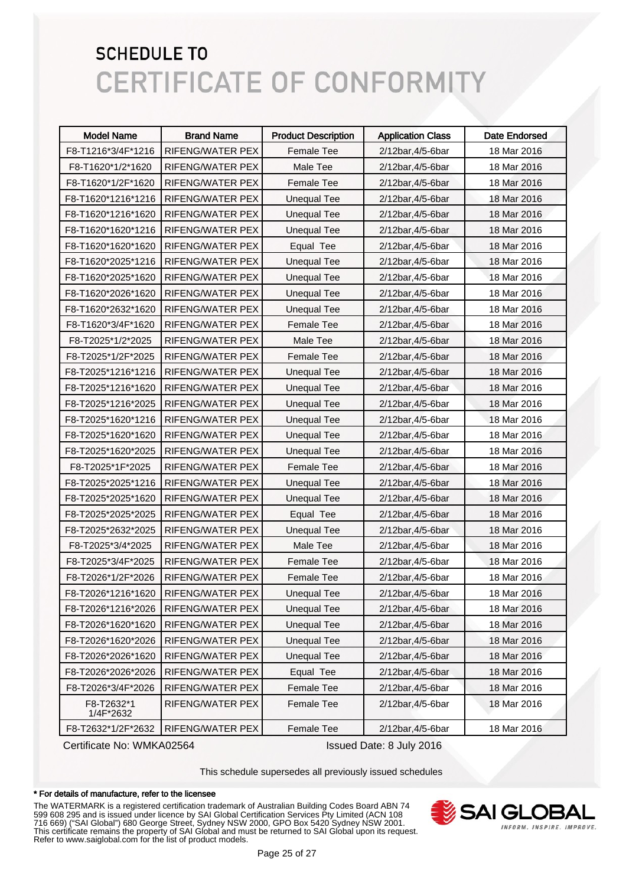| <b>Model Name</b>       | <b>Brand Name</b>       | <b>Product Description</b> | <b>Application Class</b> | Date Endorsed |
|-------------------------|-------------------------|----------------------------|--------------------------|---------------|
| F8-T1216*3/4F*1216      | RIFENG/WATER PEX        | <b>Female Tee</b>          | 2/12bar, 4/5-6bar        | 18 Mar 2016   |
| F8-T1620*1/2*1620       | RIFENG/WATER PEX        | Male Tee                   | 2/12bar, 4/5-6bar        | 18 Mar 2016   |
| F8-T1620*1/2F*1620      | RIFENG/WATER PEX        | <b>Female Tee</b>          | 2/12bar, 4/5-6bar        | 18 Mar 2016   |
| F8-T1620*1216*1216      | RIFENG/WATER PEX        | <b>Unequal Tee</b>         | 2/12bar, 4/5-6bar        | 18 Mar 2016   |
| F8-T1620*1216*1620      | RIFENG/WATER PEX        | <b>Unequal Tee</b>         | 2/12bar, 4/5-6bar        | 18 Mar 2016   |
| F8-T1620*1620*1216      | RIFENG/WATER PEX        | <b>Unequal Tee</b>         | 2/12bar, 4/5-6bar        | 18 Mar 2016   |
| F8-T1620*1620*1620      | RIFENG/WATER PEX        | Equal Tee                  | 2/12bar, 4/5-6bar        | 18 Mar 2016   |
| F8-T1620*2025*1216      | RIFENG/WATER PEX        | <b>Unequal Tee</b>         | 2/12bar, 4/5-6bar        | 18 Mar 2016   |
| F8-T1620*2025*1620      | RIFENG/WATER PEX        | <b>Unequal Tee</b>         | 2/12bar, 4/5-6bar        | 18 Mar 2016   |
| F8-T1620*2026*1620      | RIFENG/WATER PEX        | <b>Unequal Tee</b>         | 2/12bar, 4/5-6bar        | 18 Mar 2016   |
| F8-T1620*2632*1620      | RIFENG/WATER PEX        | <b>Unequal Tee</b>         | 2/12bar, 4/5-6bar        | 18 Mar 2016   |
| F8-T1620*3/4F*1620      | RIFENG/WATER PEX        | <b>Female Tee</b>          | 2/12bar, 4/5-6bar        | 18 Mar 2016   |
| F8-T2025*1/2*2025       | RIFENG/WATER PEX        | Male Tee                   | 2/12bar, 4/5-6bar        | 18 Mar 2016   |
| F8-T2025*1/2F*2025      | RIFENG/WATER PEX        | <b>Female Tee</b>          | 2/12bar, 4/5-6bar        | 18 Mar 2016   |
| F8-T2025*1216*1216      | <b>RIFENG/WATER PEX</b> | <b>Unequal Tee</b>         | 2/12bar, 4/5-6bar        | 18 Mar 2016   |
| F8-T2025*1216*1620      | RIFENG/WATER PEX        | <b>Unequal Tee</b>         | 2/12bar, 4/5-6bar        | 18 Mar 2016   |
| F8-T2025*1216*2025      | RIFENG/WATER PEX        | <b>Unequal Tee</b>         | 2/12bar, 4/5-6bar        | 18 Mar 2016   |
| F8-T2025*1620*1216      | RIFENG/WATER PEX        | <b>Unequal Tee</b>         | 2/12bar, 4/5-6bar        | 18 Mar 2016   |
| F8-T2025*1620*1620      | RIFENG/WATER PEX        | <b>Unequal Tee</b>         | 2/12bar, 4/5-6bar        | 18 Mar 2016   |
| F8-T2025*1620*2025      | RIFENG/WATER PEX        | <b>Unequal Tee</b>         | 2/12bar, 4/5-6bar        | 18 Mar 2016   |
| F8-T2025*1F*2025        | RIFENG/WATER PEX        | Female Tee                 | 2/12bar, 4/5-6bar        | 18 Mar 2016   |
| F8-T2025*2025*1216      | RIFENG/WATER PEX        | <b>Unequal Tee</b>         | 2/12bar, 4/5-6bar        | 18 Mar 2016   |
| F8-T2025*2025*1620      | RIFENG/WATER PEX        | <b>Unequal Tee</b>         | 2/12bar, 4/5-6bar        | 18 Mar 2016   |
| F8-T2025*2025*2025      | RIFENG/WATER PEX        | Equal Tee                  | 2/12bar, 4/5-6bar        | 18 Mar 2016   |
| F8-T2025*2632*2025      | RIFENG/WATER PEX        | <b>Unequal Tee</b>         | 2/12bar, 4/5-6bar        | 18 Mar 2016   |
| F8-T2025*3/4*2025       | RIFENG/WATER PEX        | Male Tee                   | 2/12bar, 4/5-6bar        | 18 Mar 2016   |
| F8-T2025*3/4F*2025      | <b>RIFENG/WATER PEX</b> | <b>Female Tee</b>          | 2/12bar, 4/5-6bar        | 18 Mar 2016   |
| F8-T2026*1/2F*2026      | RIFENG/WATER PEX        | Female Tee                 | 2/12bar, 4/5-6bar        | 18 Mar 2016   |
| F8-T2026*1216*1620      | RIFENG/WATER PEX        | <b>Unequal Tee</b>         | 2/12bar, 4/5-6bar        | 18 Mar 2016   |
| F8-T2026*1216*2026      | RIFENG/WATER PEX        | <b>Unequal Tee</b>         | 2/12bar, 4/5-6bar        | 18 Mar 2016   |
| F8-T2026*1620*1620      | RIFENG/WATER PEX        | <b>Unequal Tee</b>         | 2/12bar, 4/5-6bar        | 18 Mar 2016   |
| F8-T2026*1620*2026      | RIFENG/WATER PEX        | <b>Unequal Tee</b>         | 2/12bar, 4/5-6bar        | 18 Mar 2016   |
| F8-T2026*2026*1620      | RIFENG/WATER PEX        | <b>Unequal Tee</b>         | 2/12bar, 4/5-6bar        | 18 Mar 2016   |
| F8-T2026*2026*2026      | RIFENG/WATER PEX        | Equal Tee                  | 2/12bar, 4/5-6bar        | 18 Mar 2016   |
| F8-T2026*3/4F*2026      | RIFENG/WATER PEX        | Female Tee                 | 2/12bar, 4/5-6bar        | 18 Mar 2016   |
| F8-T2632*1<br>1/4F*2632 | RIFENG/WATER PEX        | Female Tee                 | 2/12bar, 4/5-6bar        | 18 Mar 2016   |
| F8-T2632*1/2F*2632      | RIFENG/WATER PEX        | Female Tee                 | 2/12bar, 4/5-6bar        | 18 Mar 2016   |

Certificate No: WMKA02564 Issued Date: 8 July 2016

This schedule supersedes all previously issued schedules

#### \* For details of manufacture, refer to the licensee

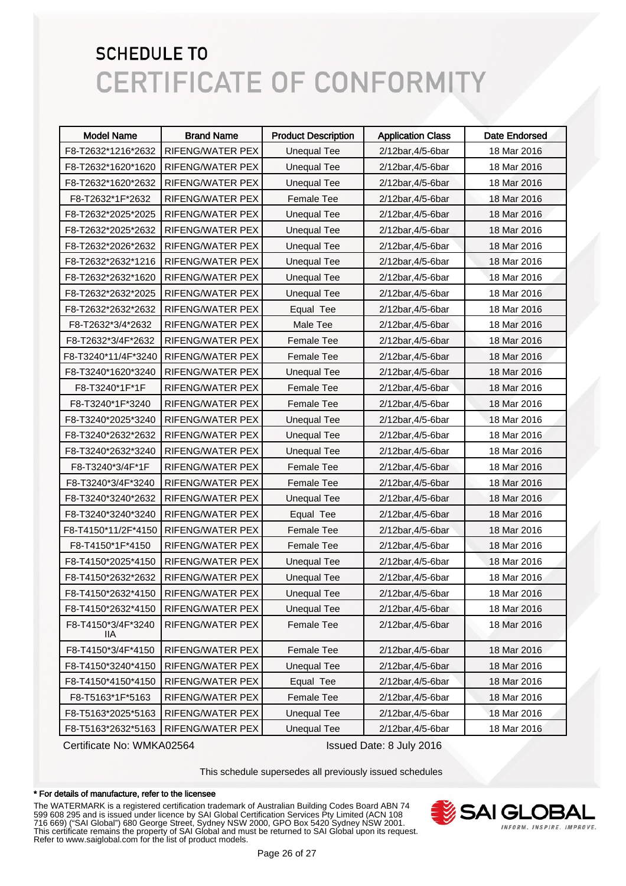| <b>Model Name</b>         | <b>Brand Name</b> | <b>Product Description</b> | <b>Application Class</b> | Date Endorsed |
|---------------------------|-------------------|----------------------------|--------------------------|---------------|
| F8-T2632*1216*2632        | RIFENG/WATER PEX  | <b>Unequal Tee</b>         | 2/12bar, 4/5-6bar        | 18 Mar 2016   |
| F8-T2632*1620*1620        | RIFENG/WATER PEX  | <b>Unequal Tee</b>         | 2/12bar, 4/5-6bar        | 18 Mar 2016   |
| F8-T2632*1620*2632        | RIFENG/WATER PEX  | <b>Unequal Tee</b>         | 2/12bar, 4/5-6bar        | 18 Mar 2016   |
| F8-T2632*1F*2632          | RIFENG/WATER PEX  | Female Tee                 | 2/12bar, 4/5-6bar        | 18 Mar 2016   |
| F8-T2632*2025*2025        | RIFENG/WATER PEX  | <b>Unequal Tee</b>         | 2/12bar, 4/5-6bar        | 18 Mar 2016   |
| F8-T2632*2025*2632        | RIFENG/WATER PEX  | <b>Unequal Tee</b>         | 2/12bar, 4/5-6bar        | 18 Mar 2016   |
| F8-T2632*2026*2632        | RIFENG/WATER PEX  | <b>Unequal Tee</b>         | 2/12bar, 4/5-6bar        | 18 Mar 2016   |
| F8-T2632*2632*1216        | RIFENG/WATER PEX  | <b>Unequal Tee</b>         | 2/12bar, 4/5-6bar        | 18 Mar 2016   |
| F8-T2632*2632*1620        | RIFENG/WATER PEX  | <b>Unequal Tee</b>         | 2/12bar, 4/5-6bar        | 18 Mar 2016   |
| F8-T2632*2632*2025        | RIFENG/WATER PEX  | <b>Unequal Tee</b>         | 2/12bar, 4/5-6bar        | 18 Mar 2016   |
| F8-T2632*2632*2632        | RIFENG/WATER PEX  | Equal Tee                  | 2/12bar, 4/5-6bar        | 18 Mar 2016   |
| F8-T2632*3/4*2632         | RIFENG/WATER PEX  | Male Tee                   | 2/12bar, 4/5-6bar        | 18 Mar 2016   |
| F8-T2632*3/4F*2632        | RIFENG/WATER PEX  | <b>Female Tee</b>          | 2/12bar, 4/5-6bar        | 18 Mar 2016   |
| F8-T3240*11/4F*3240       | RIFENG/WATER PEX  | <b>Female Tee</b>          | 2/12bar, 4/5-6bar        | 18 Mar 2016   |
| F8-T3240*1620*3240        | RIFENG/WATER PEX  | <b>Unequal Tee</b>         | 2/12bar, 4/5-6bar        | 18 Mar 2016   |
| F8-T3240*1F*1F            | RIFENG/WATER PEX  | Female Tee                 | 2/12bar, 4/5-6bar        | 18 Mar 2016   |
| F8-T3240*1F*3240          | RIFENG/WATER PEX  | <b>Female Tee</b>          | 2/12bar, 4/5-6bar        | 18 Mar 2016   |
| F8-T3240*2025*3240        | RIFENG/WATER PEX  | <b>Unequal Tee</b>         | 2/12bar, 4/5-6bar        | 18 Mar 2016   |
| F8-T3240*2632*2632        | RIFENG/WATER PEX  | <b>Unequal Tee</b>         | 2/12bar, 4/5-6bar        | 18 Mar 2016   |
| F8-T3240*2632*3240        | RIFENG/WATER PEX  | <b>Unequal Tee</b>         | 2/12bar, 4/5-6bar        | 18 Mar 2016   |
| F8-T3240*3/4F*1F          | RIFENG/WATER PEX  | <b>Female Tee</b>          | 2/12bar, 4/5-6bar        | 18 Mar 2016   |
| F8-T3240*3/4F*3240        | RIFENG/WATER PEX  | <b>Female Tee</b>          | 2/12bar, 4/5-6bar        | 18 Mar 2016   |
| F8-T3240*3240*2632        | RIFENG/WATER PEX  | <b>Unequal Tee</b>         | 2/12bar, 4/5-6bar        | 18 Mar 2016   |
| F8-T3240*3240*3240        | RIFENG/WATER PEX  | Equal Tee                  | 2/12bar, 4/5-6bar        | 18 Mar 2016   |
| F8-T4150*11/2F*4150       | RIFENG/WATER PEX  | <b>Female Tee</b>          | 2/12bar, 4/5-6bar        | 18 Mar 2016   |
| F8-T4150*1F*4150          | RIFENG/WATER PEX  | <b>Female Tee</b>          | 2/12bar, 4/5-6bar        | 18 Mar 2016   |
| F8-T4150*2025*4150        | RIFENG/WATER PEX  | <b>Unequal Tee</b>         | 2/12bar, 4/5-6bar        | 18 Mar 2016   |
| F8-T4150*2632*2632        | RIFENG/WATER PEX  | <b>Unequal Tee</b>         | 2/12bar, 4/5-6bar        | 18 Mar 2016   |
| F8-T4150*2632*4150        | RIFENG/WATER PEX  | <b>Unequal Tee</b>         | 2/12bar, 4/5-6bar        | 18 Mar 2016   |
| F8-T4150*2632*4150        | RIFENG/WATER PEX  | <b>Unequal Tee</b>         | 2/12bar, 4/5-6bar        | 18 Mar 2016   |
| F8-T4150*3/4F*3240<br>llА | RIFENG/WATER PEX  | <b>Female Tee</b>          | 2/12bar, 4/5-6bar        | 18 Mar 2016   |
| F8-T4150*3/4F*4150        | RIFENG/WATER PEX  | Female Tee                 | 2/12bar, 4/5-6bar        | 18 Mar 2016   |
| F8-T4150*3240*4150        | RIFENG/WATER PEX  | <b>Unequal Tee</b>         | 2/12bar, 4/5-6bar        | 18 Mar 2016   |
| F8-T4150*4150*4150        | RIFENG/WATER PEX  | Equal Tee                  | 2/12bar, 4/5-6bar        | 18 Mar 2016   |
| F8-T5163*1F*5163          | RIFENG/WATER PEX  | Female Tee                 | 2/12bar, 4/5-6bar        | 18 Mar 2016   |
| F8-T5163*2025*5163        | RIFENG/WATER PEX  | <b>Unequal Tee</b>         | 2/12bar, 4/5-6bar        | 18 Mar 2016   |
| F8-T5163*2632*5163        | RIFENG/WATER PEX  | <b>Unequal Tee</b>         | 2/12bar, 4/5-6bar        | 18 Mar 2016   |

Certificate No: WMKA02564 Issued Date: 8 July 2016

This schedule supersedes all previously issued schedules

#### \* For details of manufacture, refer to the licensee